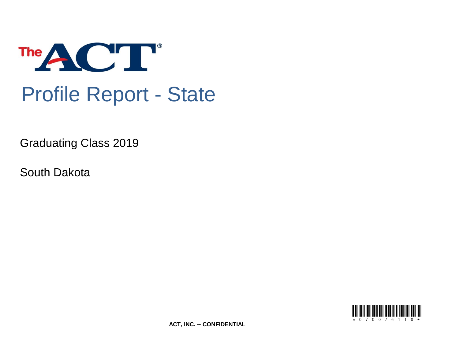

Graduating Class 2019

South Dakota



**ACT, INC. -- CONFIDENTIAL**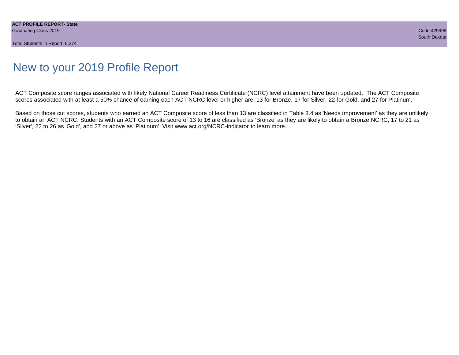### New to your 2019 Profile Report

ACT Composite score ranges associated with likely National Career Readiness Certificate (NCRC) level attainment have been updated. The ACT Composite scores associated with at least a 50% chance of earning each ACT NCRC level or higher are: 13 for Bronze, 17 for Silver, 22 for Gold, and 27 for Platinum.

Based on those cut scores, students who earned an ACT Composite score of less than 13 are classified in Table 3.4 as 'Needs improvement' as they are unlikely to obtain an ACT NCRC. Students with an ACT Composite score of 13 to 16 are classified as 'Bronze' as they are likely to obtain a Bronze NCRC, 17 to 21 as 'Silver', 22 to 26 as 'Gold', and 27 or above as 'Platinum'. Visit www.act.org/NCRC-indicator to learn more.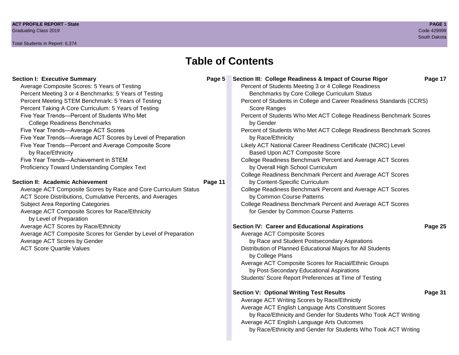### **Table of Contents**

| <b>Section I: Executive Summary</b>                             | Page 5  | Section III: College Readiness & Impact of Course Rigor                         | Page 17 |
|-----------------------------------------------------------------|---------|---------------------------------------------------------------------------------|---------|
| Average Composite Scores: 5 Years of Testing                    |         | Percent of Students Meeting 3 or 4 College Readiness                            |         |
| Percent Meeting 3 or 4 Benchmarks: 5 Years of Testing           |         | Benchmarks by Core College Curriculum Status                                    |         |
| Percent Meeting STEM Benchmark: 5 Years of Testing              |         | Percent of Students in College and Career Readiness Standards (CCRS)            |         |
| Percent Taking A Core Curriculum: 5 Years of Testing            |         | Score Ranges                                                                    |         |
| Five Year Trends-Percent of Students Who Met                    |         | Percent of Students Who Met ACT College Readiness Benchmark Scores              |         |
| <b>College Readiness Benchmarks</b>                             |         | by Gender                                                                       |         |
| Five Year Trends-Average ACT Scores                             |         | Percent of Students Who Met ACT College Readiness Benchmark Scores              |         |
| Five Year Trends-Average ACT Scores by Level of Preparation     |         | by Race/Ethnicity                                                               |         |
| Five Year Trends-Percent and Average Composite Score            |         | Likely ACT National Career Readiness Certificate (NCRC) Level                   |         |
| by Race/Ethnicity                                               |         | Based Upon ACT Composite Score                                                  |         |
| Five Year Trends-Achievement in STEM                            |         | College Readiness Benchmark Percent and Average ACT Scores                      |         |
| Proficiency Toward Understanding Complex Text                   |         | by Overall High School Curriculum                                               |         |
|                                                                 |         | College Readiness Benchmark Percent and Average ACT Scores                      |         |
| <b>Section II: Academic Achievement</b>                         | Page 11 | by Content-Specific Curriculum                                                  |         |
| Average ACT Composite Scores by Race and Core Curriculum Status |         | College Readiness Benchmark Percent and Average ACT Scores                      |         |
| ACT Score Distributions, Cumulative Percents, and Averages      |         | by Common Course Patterns                                                       |         |
| <b>Subject Area Reporting Categories</b>                        |         | College Readiness Benchmark Percent and Average ACT Scores                      |         |
| Average ACT Composite Scores for Race/Ethnicity                 |         | for Gender by Common Course Patterns                                            |         |
| by Level of Preparation                                         |         |                                                                                 |         |
| Average ACT Scores by Race/Ethnicity                            |         | <b>Section IV: Career and Educational Aspirations</b>                           | Page 25 |
| Average ACT Composite Scores for Gender by Level of Preparation |         | Average ACT Composite Scores                                                    |         |
| Average ACT Scores by Gender                                    |         | by Race and Student Postsecondary Aspirations                                   |         |
| <b>ACT Score Quartile Values</b>                                |         | Distribution of Planned Educational Majors for All Students<br>by College Plans |         |
|                                                                 |         | Average ACT Composite Scores for Racial/Ethnic Groups                           |         |
|                                                                 |         | by Post-Secondary Educational Aspirations                                       |         |
|                                                                 |         | Students' Score Report Preferences at Time of Testing                           |         |
|                                                                 |         | <b>Section V: Optional Writing Test Results</b>                                 | Page 31 |
|                                                                 |         | Average ACT Writing Scores by Race/Ethnicity                                    |         |
|                                                                 |         | Average ACT English Language Arts Constituent Scores                            |         |
|                                                                 |         | by Race/Ethnicity and Gender for Students Who Took ACT Writing                  |         |
|                                                                 |         | Average ACT English Language Arts Outcomes                                      |         |

by Race/Ethnicity and Gender for Students Who Took ACT Writing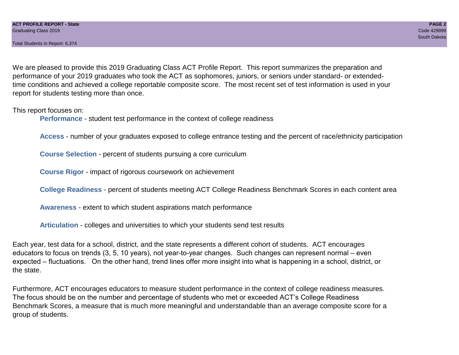We are pleased to provide this 2019 Graduating Class ACT Profile Report. This report summarizes the preparation and performance of your 2019 graduates who took the ACT as sophomores, juniors, or seniors under standard- or extendedtime conditions and achieved a college reportable composite score. The most recent set of test information is used in your report for students testing more than once.

This report focuses on:

**Performance** - student test performance in the context of college readiness

**Access** - number of your graduates exposed to college entrance testing and the percent of race/ethnicity participation

**Course Selection** - percent of students pursuing a core curriculum

**Course Rigor** - impact of rigorous coursework on achievement

**College Readiness** - percent of students meeting ACT College Readiness Benchmark Scores in each content area

**Awareness** - extent to which student aspirations match performance

**Articulation** - colleges and universities to which your students send test results

Each year, test data for a school, district, and the state represents a different cohort of students. ACT encourages educators to focus on trends (3, 5, 10 years), not year-to-year changes. Such changes can represent normal – even expected – fluctuations. On the other hand, trend lines offer more insight into what is happening in a school, district, or the state.

Furthermore, ACT encourages educators to measure student performance in the context of college readiness measures. The focus should be on the number and percentage of students who met or exceeded ACT's College Readiness Benchmark Scores, a measure that is much more meaningful and understandable than an average composite score for a group of students.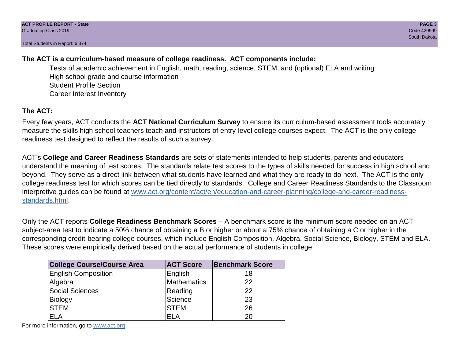#### **The ACT is a curriculum-based measure of college readiness. ACT components include:**

Tests of academic achievement in English, math, reading, science, STEM, and (optional) ELA and writing High school grade and course information Student Profile Section Career Interest Inventory

#### **The ACT:**

Every few years, ACT conducts the **ACT National Curriculum Survey** to ensure its curriculum-based assessment tools accurately measure the skills high school teachers teach and instructors of entry-level college courses expect. The ACT is the only college readiness test designed to reflect the results of such a survey.

ACT's **College and Career Readiness Standards** are sets of statements intended to help students, parents and educators understand the meaning of test scores. The standards relate test scores to the types of skills needed for success in high school and beyond. They serve as a direct link between what students have learned and what they are ready to do next. The ACT is the only college readiness test for which scores can be tied directly to standards. College and Career Readiness Standards to the Classroom interpretive guides can be found at www.act.org/content/act/en/education-and-career-planning/college-and-career-readinessstandards.html.

Only the ACT reports **College Readiness Benchmark Scores** – A benchmark score is the minimum score needed on an ACT subject-area test to indicate a 50% chance of obtaining a B or higher or about a 75% chance of obtaining a C or higher in the corresponding credit-bearing college courses, which include English Composition, Algebra, Social Science, Biology, STEM and ELA. These scores were empirically derived based on the actual performance of students in college.

| <b>College Course/Course Area</b> | <b>ACT Score</b> | <b>Benchmark Score</b> |
|-----------------------------------|------------------|------------------------|
| <b>English Composition</b>        | English          | 18                     |
| Algebra                           | Mathematics      | 22                     |
| <b>Social Sciences</b>            | Reading          | 22                     |
| <b>Biology</b>                    | Science          | 23                     |
| <b>STEM</b>                       | <b>STEM</b>      | 26                     |
| ELA                               | ELA              | 20                     |

For more information, go to www.act.org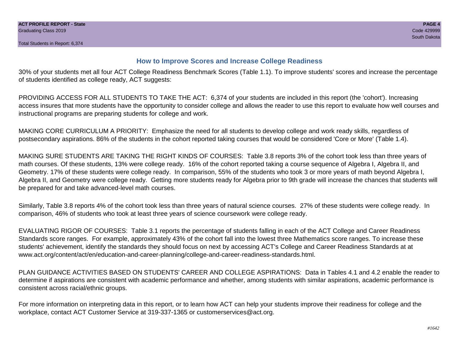#### **How to Improve Scores and Increase College Readiness**

30% of your students met all four ACT College Readiness Benchmark Scores (Table 1.1). To improve students' scores and increase the percentage of students identified as college ready, ACT suggests:

PROVIDING ACCESS FOR ALL STUDENTS TO TAKE THE ACT: 6,374 of your students are included in this report (the 'cohort'). Increasing access insures that more students have the opportunity to consider college and allows the reader to use this report to evaluate how well courses and instructional programs are preparing students for college and work.

MAKING CORE CURRICULUM A PRIORITY: Emphasize the need for all students to develop college and work ready skills, regardless of postsecondary aspirations. 86% of the students in the cohort reported taking courses that would be considered 'Core or More' (Table 1.4).

MAKING SURE STUDENTS ARE TAKING THE RIGHT KINDS OF COURSES: Table 3.8 reports 3% of the cohort took less than three years of math courses. Of these students, 13% were college ready. 16% of the cohort reported taking a course sequence of Algebra I, Algebra II, and Geometry. 17% of these students were college ready. In comparison, 55% of the students who took 3 or more years of math beyond Algebra I, Algebra II, and Geometry were college ready. Getting more students ready for Algebra prior to 9th grade will increase the chances that students will be prepared for and take advanced-level math courses.

Similarly, Table 3.8 reports 4% of the cohort took less than three years of natural science courses. 27% of these students were college ready. In comparison, 46% of students who took at least three years of science coursework were college ready.

EVALUATING RIGOR OF COURSES: Table 3.1 reports the percentage of students falling in each of the ACT College and Career Readiness Standards score ranges. For example, approximately 43% of the cohort fall into the lowest three Mathematics score ranges. To increase these students' achievement, identify the standards they should focus on next by accessing ACT's College and Career Readiness Standards at at www.act.org/content/act/en/education-and-career-planning/college-and-career-readiness-standards.html.

PLAN GUIDANCE ACTIVITIES BASED ON STUDENTS' CAREER AND COLLEGE ASPIRATIONS: Data in Tables 4.1 and 4.2 enable the reader to determine if aspirations are consistent with academic performance and whether, among students with similar aspirations, academic performance is consistent across racial/ethnic groups.

For more information on interpreting data in this report, or to learn how ACT can help your students improve their readiness for college and the workplace, contact ACT Customer Service at 319-337-1365 or customerservices@act.org.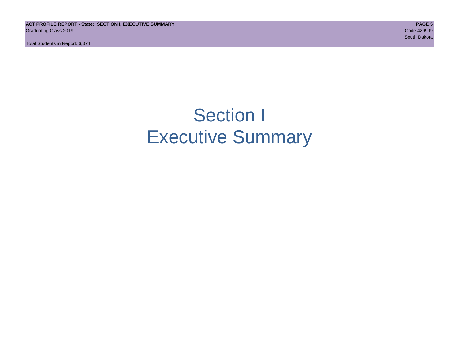# Section I Executive Summary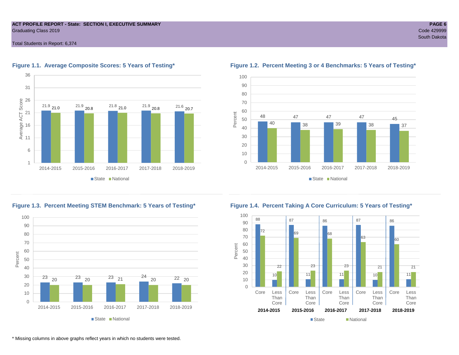#### **ACT PROFILE REPORT - State: SECTION I, EXECUTIVE SUMMARY PAGE 6** Graduating Class 2019 Code 429999

#### Total Students in Report: 6,374



#### **Figure 1.1. Average Composite Scores: 5 Years of Testing\* Figure 1.2. Percent Meeting 3 or 4 Benchmarks: 5 Years of Testing\***



#### **Figure 1.3. Percent Meeting STEM Benchmark: 5 Years of Testing\* Figure 1.4. Percent Taking A Core Curriculum: 5 Years of Testing\***



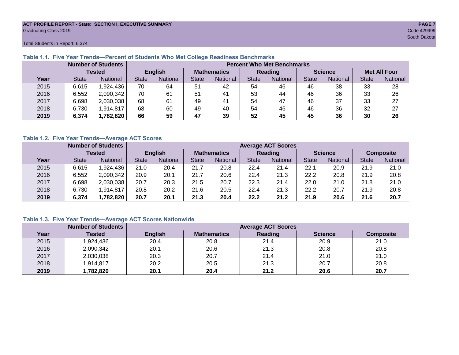#### **ACT PROFILE REPORT - State: SECTION I, EXECUTIVE SUMMARY PAGE 7**

Code 429999 Code 429999 Code 429999 Code 429999 Code 429999 Code 429999 Code 429999 Code 429999 Code 429999 Code 429999 Code 429999 Code 429999 Code 429999 Code 429999 Code 429999 Code 429999 Code 429999 Code 429999 Code 4

Total Students in Report: 6,374

#### **Table 1.1. Five Year Trends—Percent of Students Who Met College Readiness Benchmarks**

|      |              | <b>Number of Students</b> |              |                | <b>Percent Who Met Benchmarks</b> |                    |              |                 |              |                |              |                     |  |  |
|------|--------------|---------------------------|--------------|----------------|-----------------------------------|--------------------|--------------|-----------------|--------------|----------------|--------------|---------------------|--|--|
|      |              | <b>Tested</b>             |              | <b>English</b> |                                   | <b>Mathematics</b> |              | <b>Reading</b>  |              | <b>Science</b> |              | <b>Met All Four</b> |  |  |
| Year | <b>State</b> | <b>National</b>           | <b>State</b> | National       | State                             | <b>National</b>    | <b>State</b> | <b>National</b> | <b>State</b> | National       | <b>State</b> | National            |  |  |
| 2015 | 6,615        | 924,436.                  | 70           | 64             | 5 <sup>1</sup>                    | 42                 | 54           | 46              | 46           | 38             | 33           | 28                  |  |  |
| 2016 | 6,552        | 2,090,342                 | 70           | 61             | 51                                | 41                 | 53           | 44              | 46           | 36             | 33           | 26                  |  |  |
| 2017 | 6,698        | 2,030,038                 | 68           | 61             | 49                                | 41                 | 54           | 47              | 46           | 37             | 33           | 27                  |  |  |
| 2018 | 6,730        | 1,914,817                 | 68           | 60             | 49                                | 40                 | 54           | 46              | 46           | 36             | 32           | 27                  |  |  |
| 2019 | 6,374        | 1,782,820                 | 66           | 59             | 47                                | 39                 | 52           | 45              | 45           | 36             | 30           | 26                  |  |  |

#### **Table 1.2. Five Year Trends—Average ACT Scores**

|      |              | <b>Number of Students</b> |              |                | <b>Average ACT Scores</b> |                    |       |                 |              |                |                  |          |  |  |
|------|--------------|---------------------------|--------------|----------------|---------------------------|--------------------|-------|-----------------|--------------|----------------|------------------|----------|--|--|
|      |              | Tested                    |              | <b>English</b> |                           | <b>Mathematics</b> |       | <b>Reading</b>  |              | <b>Science</b> | <b>Composite</b> |          |  |  |
| Year | <b>State</b> | <b>National</b>           | <b>State</b> | National       | <b>State</b>              | National           | State | <b>National</b> | <b>State</b> | National       | <b>State</b>     | National |  |  |
| 2015 | 6,615        | ,924,436                  | 21.0         | 20.4           | 21.7                      | 20.8               | 22.4  | 21.4            | 22.1         | 20.9           | 21.9             | 21.0     |  |  |
| 2016 | 6,552        | 2,090,342                 | 20.9         | 20.1           | 21.7                      | 20.6               | 22.4  | 21.3            | 22.2         | 20.8           | 21.9             | 20.8     |  |  |
| 2017 | 6,698        | 2,030,038                 | 20.7         | 20.3           | 21.5                      | 20.7               | 22.3  | 21.4            | 22.0         | 21.0           | 21.8             | 21.0     |  |  |
| 2018 | 6,730        | 914,817                   | 20.8         | 20.2           | 21.6                      | 20.5               | 22.4  | 21.3            | 22.2         | 20.7           | 21.9             | 20.8     |  |  |
| 2019 | 6,374        | 1,782,820                 | 20.7         | 20.1           | 21.3                      | 20.4               | 22.2  | 21.2            | 21.9         | 20.6           | 21.6             | 20.7     |  |  |

#### **Table 1.3. Five Year Trends—Average ACT Scores Nationwide**

|      | <b>Number of Students</b> |                |                    | <b>Average ACT Scores</b> |                |                  |
|------|---------------------------|----------------|--------------------|---------------------------|----------------|------------------|
| Year | Tested                    | <b>English</b> | <b>Mathematics</b> | Reading                   | <b>Science</b> | <b>Composite</b> |
| 2015 | 1,924,436                 | 20.4           | 20.8               | 21.4                      | 20.9           | 21.0             |
| 2016 | 2,090,342                 | 20.1           | 20.6               | 21.3                      | 20.8           | 20.8             |
| 2017 | 2,030,038                 | 20.3           | 20.7               | 21.4                      | 21.0           | 21.0             |
| 2018 | 1,914,817                 | 20.2           | 20.5               | 21.3                      | 20.7           | 20.8             |
| 2019 | 1.782.820                 | 20.1           | 20.4               | 21.2                      | 20.6           | 20.7             |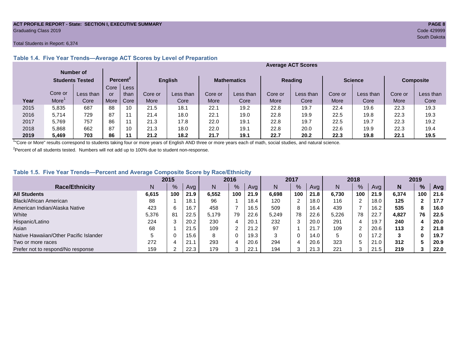#### **ACT PROFILE REPORT - State: SECTION I, EXECUTIVE SUMMARY PAGE 8** Graduating Class 2019 Code 429999

#### Total Students in Report: 6,374

|      |         |                        |      |                      |         |                |         |                    |         | <b>Average ACT Scores</b> |         |                |         |                  |
|------|---------|------------------------|------|----------------------|---------|----------------|---------|--------------------|---------|---------------------------|---------|----------------|---------|------------------|
|      |         | Number of              |      |                      |         |                |         |                    |         |                           |         |                |         |                  |
|      |         | <b>Students Tested</b> |      | Percent <sup>2</sup> |         | <b>English</b> |         | <b>Mathematics</b> |         | <b>Reading</b>            |         | <b>Science</b> |         | <b>Composite</b> |
|      |         |                        | Core | Less                 |         |                |         |                    |         |                           |         |                |         |                  |
|      | Core or | Less than              | or   | than                 | Core or | Less than      | Core or | Less than          | Core or | Less than                 | Core or | Less than      | Core or | Less than        |
| Year | More    | Core                   | More | Core                 | More    | Core           | More    | Core               | More    | Core                      | More    | Core           | More    | Core             |
| 2015 | 5,835   | 687                    | 88   | 10                   | 21.5    | 18.1           | 22.7    | 19.2               | 22.8    | 19.7                      | 22.4    | 19.6           | 22.3    | 19.3             |
| 2016 | 5,714   | 729                    | 87   | 11                   | 21.4    | 18.0           | 22.1    | 19.0               | 22.8    | 19.9                      | 22.5    | 19.8           | 22.3    | 19.3             |
| 2017 | 5,769   | 757                    | 86   | 11                   | 21.3    | 17.8           | 22.0    | 19.1               | 22.8    | 19.7                      | 22.5    | 19.7           | 22.3    | 19.2             |
| 2018 | 5,868   | 662                    | 87   | 10                   | 21.3    | 18.0           | 22.0    | 19.1               | 22.8    | 20.0                      | 22.6    | 19.9           | 22.3    | 19.4             |
| 2019 | 5,469   | 703                    | 86   | 11                   | 21.2    | 18.2           | 21.7    | 19.1               | 22.7    | 20.2                      | 22.3    | 19.8           | 22.1    | 19.5             |

#### **Table 1.4. Five Year Trends—Average ACT Scores by Level of Preparation**

<sup>1</sup>"Core or More" results correspond to students taking four or more years of English AND three or more years each of math, social studies, and natural science.

 $2$ Percent of all students tested. Numbers will not add up to 100% due to student non-response.

#### **Table 1.5. Five Year Trends—Percent and Average Composite Score by Race/Ethnicity**

|                                        |       | 2015 |      |       | 2016 |                   |       | 2017 |      |       | 2018 |      |       | 2019 |      |
|----------------------------------------|-------|------|------|-------|------|-------------------|-------|------|------|-------|------|------|-------|------|------|
| <b>Race/Ethnicity</b>                  | N     | %    | Avg  | N     | %    | Avg               | N     | %    | Avg  | N     | %    | Avg  | N     | %    | Avg  |
| <b>All Students</b>                    | 6.615 | 100  | 21.9 | 6,552 | 100  | 21.9              | 6.698 | 100  | 21.8 | 6.730 | 100  | 21.9 | 6.374 | 100  | 21.6 |
| <b>Black/African American</b>          | 88    |      | 18.1 | 96    |      | 18.4 <sub>1</sub> | 120   |      | 18.0 | 116   | 2    | 18.0 | 125   |      | 17.7 |
| American Indian/Alaska Native          | 423   | 6    | 16.7 | 458   |      | 16.5              | 509   | 8    | 16.4 | 439   |      | 16.2 | 535   |      | 16.0 |
| White                                  | 5.376 | 81   | 22.5 | 5,179 | 79   | 22.6              | 5,249 | 78   | 22.6 | 5,226 | 78   | 22.7 | 4.827 | 76   | 22.5 |
| Hispanic/Latino                        | 224   | 3    | 20.2 | 230   |      | 20.1              | 232   | د.   | 20.0 | 291   | 4    | 19.7 | 240   |      | 20.0 |
| Asian                                  | 68    |      | 21.5 | 109   |      | 21.2              | 97    |      | 21.7 | 109   | 2    | 20.6 | 113   |      | 21.8 |
| Native Hawaiian/Other Pacific Islander | 5     | 0    | 15.6 | 8     |      | 19.3              | 3     |      | 14.0 | 5     | 0    | 17.2 |       |      | 19.7 |
| Two or more races                      | 272   |      | 21.1 | 293   |      | 20.6              | 294   | 4    | 20.6 | 323   | 5    | 21.0 | 312   |      | 20.9 |
| Prefer not to respond/No response      | 159   | ົ    | 22.3 | 179   |      | 22.1              | 194   | د.   | 21.3 | 221   | 3    | 21.5 | 219   |      | 22.0 |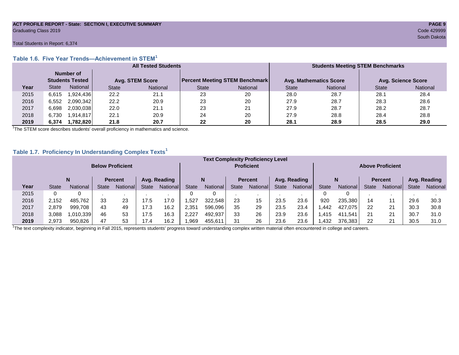#### **ACT PROFILE REPORT - State: SECTION I, EXECUTIVE SUMMARY PAGE 9** Code 429999 Code 429999 Code 429999 Code 429999 Code 429999 Code 429999 Code 429999 Code 429999 Code 429999 Code 429999 Code 429999 Code 429999 Code 429999 Code 429999 Code 429999 Code 429999 Code 429999 Code 429999 Code 4

#### Total Students in Report: 6,374

#### **Table 1.6. Five Year Trends—Achievement in STEM<sup>1</sup>**

|      |       |                        |              | <b>All Tested Students</b> |              |                                       |              | <b>Students Meeting STEM Benchmarks</b> |       |                           |
|------|-------|------------------------|--------------|----------------------------|--------------|---------------------------------------|--------------|-----------------------------------------|-------|---------------------------|
|      |       | Number of              |              |                            |              |                                       |              |                                         |       |                           |
|      |       | <b>Students Tested</b> |              | <b>Avg. STEM Score</b>     |              | <b>Percent Meeting STEM Benchmark</b> |              | <b>Avg. Mathematics Score</b>           |       | <b>Avg. Science Score</b> |
| Year | State | National               | <b>State</b> | <b>National</b>            | <b>State</b> | <b>National</b>                       | <b>State</b> | <b>National</b>                         | State | National                  |
| 2015 | 6.615 | .924,436               | 22.2         | 21.1                       | 23           | 20                                    | 28.0         | 28.7                                    | 28.1  | 28.4                      |
| 2016 | 6.552 | 2,090,342              | 22.2         | 20.9                       | 23           | 20                                    | 27.9         | 28.7                                    | 28.3  | 28.6                      |
| 2017 | 6.698 | 2,030,038              | 22.0         | 21.1                       | 23           | 21                                    | 27.9         | 28.7                                    | 28.2  | 28.7                      |
| 2018 | 6.730 | 1,914,817              | 22.1         | 20.9                       | 24           | 20                                    | 27.9         | 28.8                                    | 28.4  | 28.8                      |
| 2019 | 6.374 | 1.782.820              | 21.8         | 20.7                       | 22           | 20                                    | 28.1         | 28.9                                    | 28.5  | 29.0                      |

<sup>1</sup>The STEM score describes students' overall proficiency in mathematics and science.

#### **Table 1.7. Proficiency In Understanding Complex Texts<sup>1</sup>**

|      |              |                 |              |                         |              |                 |              |          |              | <b>Text Complexity Proficiency Level</b> |              |                 |              |          |              |                         |              |              |
|------|--------------|-----------------|--------------|-------------------------|--------------|-----------------|--------------|----------|--------------|------------------------------------------|--------------|-----------------|--------------|----------|--------------|-------------------------|--------------|--------------|
|      |              |                 |              | <b>Below Proficient</b> |              |                 |              |          |              | <b>Proficient</b>                        |              |                 |              |          |              | <b>Above Proficient</b> |              |              |
|      |              | N               |              | <b>Percent</b>          |              | Avg. Reading    |              |          |              | <b>Percent</b>                           |              | Avg. Reading    |              | N        |              | <b>Percent</b>          |              | Avg. Reading |
| Year | <b>State</b> | <b>National</b> | <b>State</b> | National                | <b>State</b> | <b>National</b> | <b>State</b> | National | <b>State</b> | National                                 | <b>State</b> | <b>National</b> | <b>State</b> | National | <b>State</b> | National                | <b>State</b> | National     |
| 2015 |              |                 |              |                         |              |                 |              |          |              |                                          |              |                 |              | 0        |              |                         |              |              |
| 2016 | 2,152        | 485,762         | 33           | 23                      | 7.5          | 17.0            | .527         | 322,548  | 23           | 15                                       | 23.5         | 23.6            | 920          | 235,380  | 14           | 11                      | 29.6         | 30.3         |
| 2017 | 2,879        | 999,708         | 43           | 49                      | 17.3         | 16.2            | 2,351        | 596,096  | 35           | 29                                       | 23.5         | 23.4            | .442         | 427,075  | 22           | 21                      | 30.3         | 30.8         |
| 2018 | 3,088        | 1,010,339       | 46           | 53                      | 17.5         | 16.3            | 2,227        | 492,937  | 33           | 26                                       | 23.9         | 23.6            | 415. ا       | 411,541  | 21           | 21                      | 30.7         | 31.0         |
| 2019 | 2,973        | 950,826         | 47           | 53                      | 7.4          | 16.2            | .969         | 455,611  | -31          | 26                                       | 23.6         | 23.6            | .432         | 376,383  | 22           | 21                      | 30.5         | 31.0         |

<sup>1</sup>The text complexity indicator, beginning in Fall 2015, represents students' progress toward understanding complex written material often encountered in college and careers.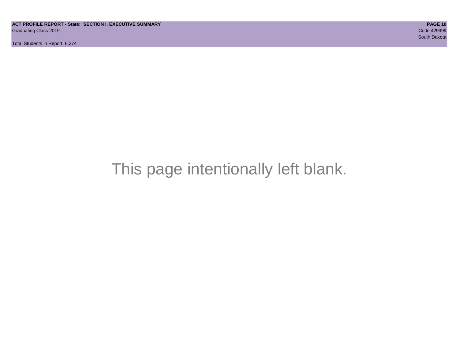**ACT PROFILE REPORT - State: SECTION I, EXECUTIVE SUMMARY PAGE 10** Graduating Class 2019 Code 429999

Total Students in Report: 6,374

### This page intentionally left blank.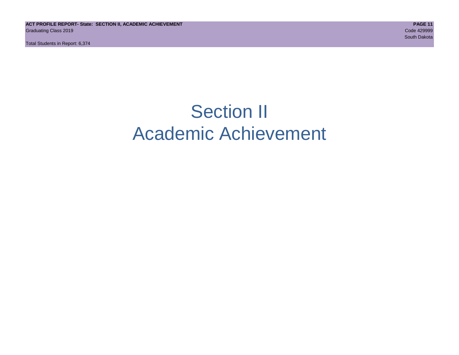# Section II Academic Achievement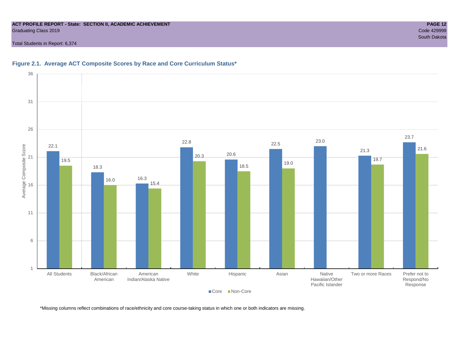#### **ACT PROFILE REPORT - State: SECTION II, ACADEMIC ACHIEVEMENT PAGE 12** Graduating Class 2019 Code 429999



#### **Figure 2.1. Average ACT Composite Scores by Race and Core Curriculum Status\***

\*Missing columns reflect combinations of race/ethnicity and core course-taking status in which one or both indicators are missing.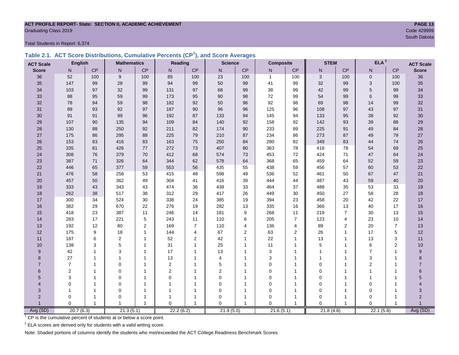#### **ACT PROFILE REPORT- State: SECTION II, ACADEMIC ACHIEVEMENT PAGE 13** Graduating Class 2019 Code 429999

Total Students in Report: 6,374

#### **Table 2.1. ACT Score Distributions, Cumulative Percents (CP<sup>1</sup> ), and Score Averages**

| <b>ACT Scale</b> | <b>English</b>   |              | <b>Mathematics</b> |              | Reading          |                | <b>Science</b> |                | <b>Composite</b> |                  | <b>STEM</b>  |                | ELA <sup>2</sup> |                | <b>ACT Scale</b>          |
|------------------|------------------|--------------|--------------------|--------------|------------------|----------------|----------------|----------------|------------------|------------------|--------------|----------------|------------------|----------------|---------------------------|
| <b>Score</b>     | $\mathsf{N}$     | CP           | $\mathsf{N}$       | CP           | $\mathsf{N}$     | CP             | $\mathsf{N}$   | CP             | N                | CP               | $\mathsf{N}$ | CP             | $\mathsf{N}$     | CP             | <b>Score</b>              |
| 36               | 52               | 100          | 9                  | 100          | 85               | 100            | 23             | 100            | $\mathbf{1}$     | 100              | 3            | 100            | $\mathbf 0$      | 100            | 36                        |
| 35               | 147              | 99           | 28                 | 99           | 94               | 99             | 50             | 99             | 41               | 99               | 32           | 99             | $\sqrt{3}$       | 100            | 35                        |
| 34               | 103              | 97           | 32                 | 99           | 131              | 97             | 68             | 99             | 38               | 99               | 42           | 99             | 5                | 99             | 34                        |
| 33               | 88               | 95           | 59                 | 99           | 173              | 95             | $90\,$         | 98             | 72               | 99               | 54           | 99             | $6\phantom{1}$   | 99             | 33                        |
| 32               | 78               | 94           | 59                 | 98           | 182              | 92             | 50             | 96             | 92               | 98               | 69           | 98             | 14               | 99             | 32                        |
| 31               | 89               | 93           | 92                 | 97           | 187              | 90             | 96             | 96             | 125              | 96               | 108          | 97             | 43               | 97             | 31                        |
| 30               | 91               | 91           | 99                 | 96           | 192              | 87             | 133            | 94             | 145              | 94               | 133          | 95             | 38               | 92             | $30\,$                    |
| 29               | 107              | 90           | 135                | 94           | 109              | 84             | 140            | 92             | 158              | 92               | 142          | 93             | 39               | 88             | 29                        |
| 28               | 130              | 88           | 250                | 92           | 211              | 82             | 174            | 90             | 233              | 89               | 225          | 91             | 49               | 84             | 28                        |
| 27               | 175              | 86           | 295                | 88           | 225              | 79             | 210            | 87             | 234              | 86               | 273          | 87             | 49               | 79             | $27\,$                    |
| 26               | 153              | 83           | 416                | 83           | 163              | 75             | 250            | 84             | 280              | 82               | 349          | 83             | 44               | 74             | 26                        |
| 25               | 335              | 81           | 426                | 77           | 272              | 73             | 407            | 80             | 363              | 78               | 418          | 78             | 54               | 69             | 25                        |
| 24               | 308              | 76           | 379                | 70           | 412              | 68             | 574            | 73             | 453              | 72               | 424          | 71             | 47               | 64             | 24                        |
| 23               | 387              | 71           | 326                | 64           | 344              | 62             | 578            | 64             | 368              | 65               | 459          | 64             | 52               | 59             | 23                        |
| 22               | 446              | 65           | 377                | 59           | 553              | 56             | 435            | 55             | 438              | 59               | 456          | 57             | 60               | 53             | 22                        |
| 21               | 476              | 58           | 258                | 53           | 415              | 48             | 598            | 49             | 536              | 52               | 461          | 50             | 67               | 47             | 21                        |
| 20               | 457              | 50           | 362                | 49           | 304              | 41             | 416            | 39             | 444              | 44               | 487          | 43             | 59               | 40             | $20\,$                    |
| 19               | 333              | 43           | 343                | 43           | 474              | 36             | 439            | 33             | 464              | 37               | 488          | 35             | 53               | 33             | 19                        |
| 18               | 262              | 38           | 517                | 38           | 312              | 29             | 417            | 26             | 449              | 30               | 450          | 27             | 58               | 28             | 18                        |
| 17               | 300              | 34           | 524                | 30           | 338              | 24             | 385            | 19             | 394              | 23               | 458          | 20             | 42               | 22             | 17                        |
| 16               | 382              | 29           | 670                | 22           | 276              | 19             | 282            | 13             | 335              | 16               | 366          | 13             | 40               | 17             | $16$                      |
| 15               | 418              | 23           | 387                | 11           | 246              | 14             | 181            | 9              | 268              | 11               | 219          | $\overline{7}$ | 30               | 13             | 15                        |
| 14               | 283              | 17           | 221                | 5            | 243              | 11             | 110            | 6              | 205              | $\overline{7}$   | 123          | $\overline{4}$ | 23               | 10             | 14                        |
| 13               | 192              | 12           | 80                 | 2            | 169              | $\overline{7}$ | 110            | 4              | 136              | 4                | 89           | 2              | 20               | $\overline{7}$ | 13                        |
| 12               | 175              | 9            | 18                 | $\mathbf{1}$ | 144              | 4              | 67             | $\overline{c}$ | 63               | $\boldsymbol{2}$ | 26           | $\mathbf{1}$   | 17               | $\mathbf 5$    | 12                        |
| 11               | 187              | 6            | $\boldsymbol{2}$   | $\mathbf{1}$ | 52               | $\overline{2}$ | 42             | $\mathbf{1}$   | 22               | $\overline{1}$   | 13           | $\mathbf{1}$   | 13               | 3              | $11$                      |
| 10               | 138              | 3            | 5                  | 1            | 31               | $\mathbf{1}$   | 25             | $\mathbf{1}$   | 11               | 1                | 5            | $\mathbf{1}$   | 6                | $\overline{2}$ | $10$                      |
| 9                | 42               |              | 3                  | 1            | 17               | $\overline{1}$ | 13             | 1              | 3                | 1                | 1            | $\mathbf{1}$   | $\overline{7}$   | 1              | $\boldsymbol{9}$          |
| 8                | 27               |              | $\overline{1}$     | 1            | 13               | 1              | 4              | 1              | 3                | $\overline{1}$   | 1            | $\overline{1}$ | 3                | 1              | $\bf 8$                   |
| $\overline{7}$   | $\overline{7}$   |              | 0                  | 1            | $\overline{2}$   | $\mathbf{1}$   | 5              | 1              | $\mathbf 0$      | $\overline{1}$   | 0            | 1              | $\overline{2}$   | 1              | $\overline{7}$            |
| 6                | $\boldsymbol{2}$ | 1            | $\mathsf 0$        | 1            | $\boldsymbol{2}$ | $\overline{1}$ | $\mathbf 2$    | 1              | $\mathbf 0$      | $\overline{1}$   | 0            | $\mathbf{1}$   | $\mathbf{1}$     | 1              | $\,$ 6 $\,$               |
| 5                | 3                |              | 0                  | 1            | $\boldsymbol{0}$ | $\mathbf{1}$   | 0              | 1              | $\mathbf 0$      | $\overline{1}$   | $\mathbf 0$  | $\mathbf{1}$   | $\overline{1}$   | 1              | 5                         |
| 4                | $\mathbf 0$      |              | 0                  | $\mathbf 1$  | 1                | $\mathbf{1}$   | 0              | 1              | $\mathbf 0$      | $\overline{1}$   | 0            | $\mathbf{1}$   | $\mathbf 0$      | 1              | $\overline{4}$            |
| 3                | 1                | -1           | 0                  | $\mathbf{1}$ | 1                | 1              | 0              | 1              | $\mathbf 0$      | $\overline{1}$   | 0            | $\mathbf{1}$   | $\mathbf 0$      | $\overline{1}$ | $\ensuremath{\mathsf{3}}$ |
| $\overline{2}$   | $\boldsymbol{0}$ | -1           | 0                  | $\mathbf{1}$ | 1                | $\mathbf{1}$   | 0              | $\mathbf{1}$   | 0                | $\mathbf 1$      | 0            | $\mathbf{1}$   | $\mathbf 0$      | $\overline{1}$ | $\sqrt{2}$                |
|                  | $\mathbf 0$      | $\mathbf{1}$ | $\overline{1}$     | $\mathbf{1}$ | $\mathbf 0$      | $\overline{1}$ | $\Omega$       | $\mathbf{1}$   | $\Omega$         | $\mathbf 1$      | $\Omega$     | $\overline{1}$ | $\Omega$         | $\mathbf{1}$   | $\overline{1}$            |
| Avg (SD)         | 20.7(6.3)        |              | 21.3(5.1)          |              | 22.2(6.2)        |                | 21.9(5.0)      |                | 21.6(5.1)        |                  | 21.8(4.8)    |                | 22.1(5.8)        |                | Avg (SD)                  |

CP is the cumulative percent of students at or below a score point.

ELA scores are derived only for students with a valid writing score.

Note: Shaded portions of columns identify the students who met/exceeded the ACT College Readiness Benchmark Scores.

South Dakota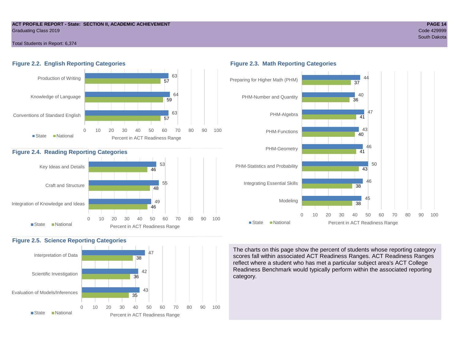#### **ACT PROFILE REPORT - State: SECTION II, ACADEMIC ACHIEVEMENT PAGE 14** Graduating Class 2019 Code 429999

#### Total Students in Report: 6,374



#### **Figure 2.4. Reading Reporting Categories**



#### **Figure 2.5. Science Reporting Categories**





The charts on this page show the percent of students whose reporting category scores fall within associated ACT Readiness Ranges. ACT Readiness Ranges reflect where a student who has met a particular subject area's ACT College Readiness Benchmark would typically perform within the associated reporting category.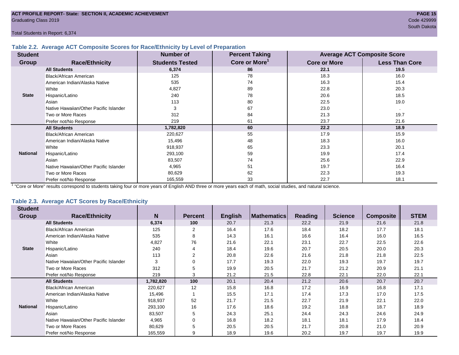#### **Table 2.2. Average ACT Composite Scores for Race/Ethnicity by Level of Preparation**

| <b>Student</b>  |                                        | <b>Number of</b>       | <b>Percent Taking</b>     |                     | <b>Average ACT Composite Score</b> |
|-----------------|----------------------------------------|------------------------|---------------------------|---------------------|------------------------------------|
| Group           | <b>Race/Ethnicity</b>                  | <b>Students Tested</b> | Core or More <sup>1</sup> | <b>Core or More</b> | <b>Less Than Core</b>              |
|                 | <b>All Students</b>                    | 6,374                  | 86                        | 22.1                | 19.5                               |
|                 | <b>Black/African American</b>          | 125                    | 78                        | 18.3                | 16.0                               |
|                 | American Indian/Alaska Native          | 535                    | 74                        | 16.3                | 15.4                               |
|                 | White                                  | 4,827                  | 89                        | 22.8                | 20.3                               |
| <b>State</b>    | Hispanic/Latino                        | 240                    | 78                        | 20.6                | 18.5                               |
|                 | Asian                                  | 113                    | 80                        | 22.5                | 19.0                               |
|                 | Native Hawaiian/Other Pacific Islander | 3                      | 67                        | 23.0                |                                    |
|                 | Two or More Races                      | 312                    | 84                        | 21.3                | 19.7                               |
|                 | Prefer not/No Response                 | 219                    | 61                        | 23.7                | 21.6                               |
|                 | <b>All Students</b>                    | 1,782,820              | 60                        | 22.2                | 18.9                               |
|                 | <b>Black/African American</b>          | 220,627                | 55                        | 17.9                | 15.9                               |
|                 | American Indian/Alaska Native          | 15,496                 | 48                        | 18.3                | 16.0                               |
|                 | White                                  | 918,937                | 65                        | 23.3                | 20.1                               |
| <b>National</b> | Hispanic/Latino                        | 293,100                | 59                        | 19.9                | 17.4                               |
|                 | Asian                                  | 83,507                 | 74                        | 25.6                | 22.9                               |
|                 | Native Hawaiian/Other Pacific Islander | 4,965                  | 51                        | 19.7                | 16.4                               |
|                 | Two or More Races                      | 80,629                 | 62                        | 22.3                | 19.3                               |
|                 | Prefer not/No Response                 | 165,559                | 33                        | 22.7                | 18.1                               |

<sup>1</sup> "Core or More" results correspond to students taking four or more years of English AND three or more years each of math, social studies, and natural science.

#### **Table 2.3. Average ACT Scores by Race/Ethnicity**

| <b>Student</b><br><b>Group</b> | <b>Race/Ethnicity</b>                  | N.        | <b>Percent</b>        | <b>English</b> | <b>Mathematics</b> | Reading | <b>Science</b> | <b>Composite</b> | <b>STEM</b> |
|--------------------------------|----------------------------------------|-----------|-----------------------|----------------|--------------------|---------|----------------|------------------|-------------|
|                                | <b>All Students</b>                    | 6,374     | 100                   | 20.7           | 21.3               | 22.2    | 21.9           | 21.6             | 21.8        |
|                                | Black/African American                 | 125       | 2                     | 16.4           | 17.6               | 18.4    | 18.2           | 17.7             | 18.1        |
|                                | American Indian/Alaska Native          | 535       | 8                     | 14.3           | 16.1               | 16.6    | 16.4           | 16.0             | 16.5        |
|                                | White                                  | 4,827     | 76                    | 21.6           | 22.1               | 23.1    | 22.7           | 22.5             | 22.6        |
| <b>State</b>                   | Hispanic/Latino                        | 240       | $\boldsymbol{\Delta}$ | 18.4           | 19.6               | 20.7    | 20.5           | 20.0             | 20.3        |
|                                | Asian                                  | 113       | 2                     | 20.8           | 22.6               | 21.6    | 21.8           | 21.8             | 22.5        |
|                                | Native Hawaiian/Other Pacific Islander | 3         | 0                     | 17.7           | 19.3               | 22.0    | 19.3           | 19.7             | 19.7        |
|                                | Two or More Races                      | 312       | 5                     | 19.9           | 20.5               | 21.7    | 21.2           | 20.9             | 21.1        |
|                                | Prefer not/No Response                 | 219       | 3                     | 21.2           | 21.5               | 22.8    | 22.1           | 22.0             | 22.1        |
|                                | <b>All Students</b>                    | 1,782,820 | 100                   | 20.1           | 20.4               | 21.2    | 20.6           | 20.7             | 20.7        |
|                                | Black/African American                 | 220,627   | 12                    | 15.8           | 16.8               | 17.2    | 16.9           | 16.8             | 17.1        |
|                                | American Indian/Alaska Native          | 15,496    |                       | 15.5           | 17.1               | 17.4    | 17.3           | 17.0             | 17.5        |
|                                | White                                  | 918,937   | 52                    | 21.7           | 21.5               | 22.7    | 21.9           | 22.1             | 22.0        |
| <b>National</b>                | Hispanic/Latino                        | 293,100   | 16                    | 17.6           | 18.6               | 19.2    | 18.8           | 18.7             | 18.9        |
|                                | Asian                                  | 83,507    | 5                     | 24.3           | 25.1               | 24.4    | 24.3           | 24.6             | 24.9        |
|                                | Native Hawaiian/Other Pacific Islander | 4,965     | 0                     | 16.8           | 18.2               | 18.1    | 18.1           | 17.9             | 18.4        |
|                                | Two or More Races                      | 80,629    | 5                     | 20.5           | 20.5               | 21.7    | 20.8           | 21.0             | 20.9        |
|                                | Prefer not/No Response                 | 165,559   | 9                     | 18.9           | 19.6               | 20.2    | 19.7           | 19.7             | 19.9        |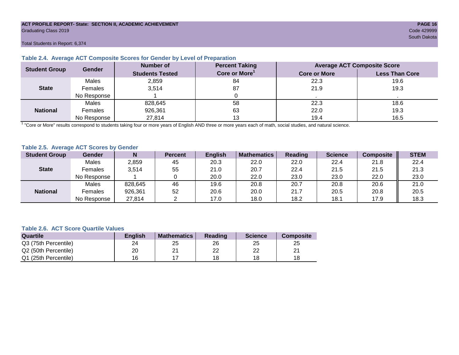#### **ACT PROFILE REPORT- State: SECTION II, ACADEMIC ACHIEVEMENT PAGE 16**

Graduating Class 2019 Code 429999

#### Total Students in Report: 6,374

#### **Table 2.4. Average ACT Composite Scores for Gender by Level of Preparation**

| <b>Student Group</b> | <b>Gender</b>  | <b>Number of</b>       | <b>Percent Taking</b>     | <b>Average ACT Composite Score</b> |                       |  |  |  |
|----------------------|----------------|------------------------|---------------------------|------------------------------------|-----------------------|--|--|--|
|                      |                | <b>Students Tested</b> | Core or More <sup>1</sup> | <b>Core or More</b>                | <b>Less Than Core</b> |  |  |  |
|                      | Males          | 2,859                  | 84                        | 22.3                               | 19.6                  |  |  |  |
| <b>State</b>         | Females        | 3,514                  | 87                        | 21.9                               | 19.3                  |  |  |  |
|                      | No Response    |                        |                           |                                    |                       |  |  |  |
|                      | Males          | 828,645                | 58                        | 22.3                               | 18.6                  |  |  |  |
| <b>National</b>      | <b>Females</b> | 926,361                | 63                        | 22.0                               | 19.3                  |  |  |  |
|                      | No Response    | 27,814                 | 13                        | 19.4                               | 16.5                  |  |  |  |

<sup>1</sup> "Core or More" results correspond to students taking four or more years of English AND three or more years each of math, social studies, and natural science.

#### **Table 2.5. Average ACT Scores by Gender**

| <b>Student Group</b> | Gender         | N       | <b>Percent</b> | <b>English</b> | <b>Mathematics</b> | <b>Reading</b> | <b>Science</b> | Composite | <b>STEM</b> |
|----------------------|----------------|---------|----------------|----------------|--------------------|----------------|----------------|-----------|-------------|
|                      | Males          | 2,859   | 45             | 20.3           | 22.0               | 22.0           | 22.4           | 21.8      | 22.4        |
| <b>State</b>         | <b>Females</b> | 3.514   | 55             | 21.0           | 20.7               | 22.4           | 21.5           | 21.5      | 21.3        |
|                      | No Response    |         |                | 20.0           | 22.0               | 23.0           | 23.0           | 22.0      | 23.0        |
|                      | Males          | 828,645 | 46             | 19.6           | 20.8               | 20.7           | 20.8           | 20.6      | 21.0        |
| <b>National</b>      | Females        | 926,361 | 52             | 20.6           | 20.0               | 21.7           | 20.5           | 20.8      | 20.5        |
|                      | No Response    | 27,814  |                | 17.0           | 18.0               | 18.2           | 18.1           | 17.9      | 18.3        |

#### **Table 2.6. ACT Score Quartile Values**

| Quartile             | <b>English</b> | <b>Mathematics</b> | <b>Reading</b> | <b>Science</b> | <b>Composite</b> |
|----------------------|----------------|--------------------|----------------|----------------|------------------|
| Q3 (75th Percentile) | 24             | 25                 | 26             | 25             | 25               |
| Q2 (50th Percentile) | 20             | ົາ 1               | 22             | 22             | 21               |
| Q1 (25th Percentile) | 16             |                    | 18             | 18             | 18               |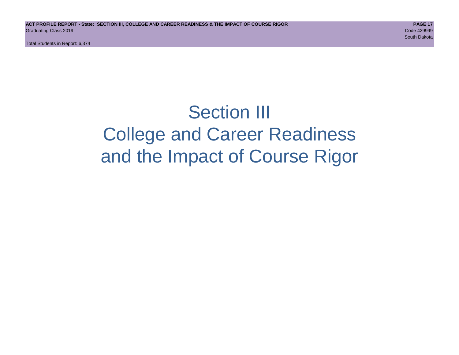Section III College and Career Readiness and the Impact of Course Rigor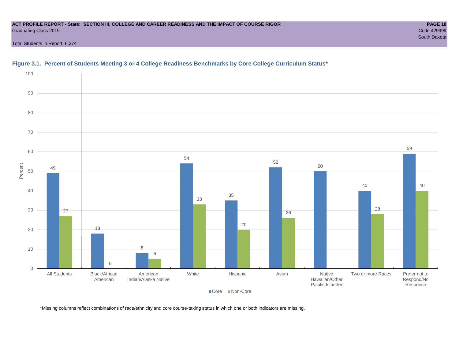#### **ACT PROFILE REPORT - State: SECTION III, COLLEGE AND CAREER READINESS AND THE IMPACT OF COURSE RIGOR PAGE 18** Graduating Class 2019 Code 429999



#### **Figure 3.1. Percent of Students Meeting 3 or 4 College Readiness Benchmarks by Core College Curriculum Status\***

\*Missing columns reflect combinations of race/ethnicity and core course-taking status in which one or both indicators are missing.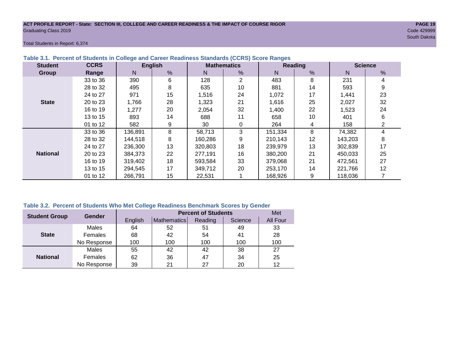#### **ACT PROFILE REPORT - State: SECTION III, COLLEGE AND CAREER READINESS & THE IMPACT OF COURSE RIGOR PAGE 19** Graduating Class 2019 Code 429999

Total Students in Report: 6,374

| <b>Student</b>  | <b>CCRS</b> | <b>English</b> |    |         | <b>Mathematics</b> | <b>Reading</b> |    |                                                                                                                            |    |
|-----------------|-------------|----------------|----|---------|--------------------|----------------|----|----------------------------------------------------------------------------------------------------------------------------|----|
| Group           | Range       | N              | %  | N       | %                  | N              | %  | N                                                                                                                          | %  |
|                 | 33 to 36    | 390            | 6  | 128     | 2                  | 483            | 8  | 231                                                                                                                        | 4  |
|                 | 28 to 32    | 495            | 8  | 635     | 10                 | 881            | 14 | 593                                                                                                                        | 9  |
|                 | 24 to 27    | 971            | 15 | 1,516   | 24                 | 1,072          | 17 | 1,441                                                                                                                      | 23 |
| <b>State</b>    | 20 to 23    | 1,766          | 28 | 1,323   | 21                 | 1,616          | 25 | <b>Science</b><br>2,027<br>1,523<br>401<br>158<br>74,382<br>143.203<br>302,839<br>450,033<br>472,561<br>221,766<br>118,036 | 32 |
|                 | 16 to 19    | 1,277          | 20 | 2,054   | 32                 | 1,400          | 22 |                                                                                                                            | 24 |
|                 | 13 to 15    | 893            | 14 | 688     | 11                 | 658            | 10 |                                                                                                                            | 6  |
|                 | 01 to 12    | 582            | 9  | 30      | 0                  | 264            | 4  |                                                                                                                            | 2  |
|                 | 33 to 36    | 136,891        | 8  | 58,713  | 3                  | 151,334        | 8  |                                                                                                                            |    |
|                 | 28 to 32    | 144,518        | 8  | 160.286 | 9                  | 210,143        | 12 |                                                                                                                            | 8  |
|                 | 24 to 27    | 236,300        | 13 | 320,803 | 18                 | 239,979        | 13 |                                                                                                                            | 17 |
| <b>National</b> | 20 to 23    | 384,373        | 22 | 277,191 | 16                 | 380,200        | 21 |                                                                                                                            | 25 |
|                 | 16 to 19    | 319,402        | 18 | 593,584 | 33                 | 379,068        | 21 |                                                                                                                            | 27 |
|                 | 13 to 15    | 294,545        | 17 | 349,712 | 20                 | 253,170        | 14 |                                                                                                                            | 12 |
|                 | 01 to 12    | 266,791        | 15 | 22,531  |                    | 168,926        | 9  |                                                                                                                            |    |

**Table 3.1. Percent of Students in College and Career Readiness Standards (CCRS) Score Ranges**

#### **Table 3.2. Percent of Students Who Met College Readiness Benchmark Scores by Gender**

| <b>Student Group</b><br>Gender |             |         | <b>Percent of Students</b> | Met     |         |          |
|--------------------------------|-------------|---------|----------------------------|---------|---------|----------|
|                                |             | English | <b>Mathematics</b>         | Reading | Science | All Four |
|                                | Males       | 64      | 52                         | 51      | 49      | 33       |
| <b>State</b>                   | Females     | 68      | 42                         | 54      | 41      | 28       |
|                                | No Response | 100     | 100                        | 100     | 100     | 100      |
|                                | Males       | 55      | 42                         | 42      | 38      | 27       |
| <b>National</b>                | Females     | 62      | 36                         | 47      | 34      | 25       |
|                                | No Response | 39      | 21                         | 27      | 20      | 12       |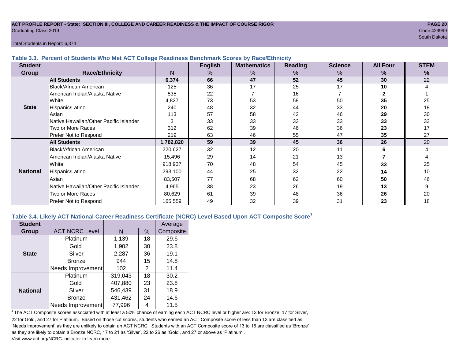#### **ACT PROFILE REPORT - State: SECTION III, COLLEGE AND CAREER READINESS & THE IMPACT OF COURSE RIGOR PAGE 20** Graduating Class 2019 Code 429999

#### South Dakota Total Students in Report: 6,374

### **Table 3.3. Percent of Students Who Met ACT College Readiness Benchmark Scores by Race/Ethnicity**

| <b>Student</b>  | rasio olor i oroom or otaaomo mio mot Ao Foonogo Roaamooo Bohomiant oooroo sy RaoorEthinoty |              | <b>English</b> | <b>Mathematics</b> | <b>Reading</b> | <b>Science</b> | <b>All Four</b> | <b>STEM</b> |
|-----------------|---------------------------------------------------------------------------------------------|--------------|----------------|--------------------|----------------|----------------|-----------------|-------------|
| <b>Group</b>    | <b>Race/Ethnicity</b>                                                                       | $\mathsf{N}$ | $\%$           | %                  | %              | %              | %               | %           |
|                 | <b>All Students</b>                                                                         | 6,374        | 66             | 47                 | 52             | 45             | 30              | 22          |
|                 | Black/African American                                                                      | 125          | 36             | 17                 | 25             | 17             | 10              |             |
|                 | American Indian/Alaska Native                                                               | 535          | 22             |                    | 16             |                |                 |             |
|                 | White                                                                                       | 4,827        | 73             | 53                 | 58             | 50             | 35              | 25          |
| <b>State</b>    | Hispanic/Latino                                                                             | 240          | 48             | 32                 | 44             | 33             | 20              | 18          |
|                 | Asian                                                                                       | 113          | 57             | 58                 | 42             | 46             | 29              | 30          |
|                 | Native Hawaiian/Other Pacific Islander                                                      |              | 33             | 33                 | 33             | 33             | 33              | 33          |
|                 | Two or More Races                                                                           | 312          | 62             | 39                 | 46             | 36             | 23              | 17          |
|                 | Prefer Not to Respond                                                                       | 219          | 63             | 46                 | 55             | 47             | 35              | 27          |
|                 | <b>All Students</b>                                                                         | 1,782,820    | 59             | 39                 | 45             | 36             | 26              | 20          |
|                 | Black/African American                                                                      | 220,627      | 32             | 12                 | 20             | 11             |                 |             |
|                 | American Indian/Alaska Native                                                               | 15,496       | 29             | 14                 | 21             | 13             |                 |             |
|                 | White                                                                                       | 918,937      | 70             | 48                 | 54             | 45             | 33              | 25          |
| <b>National</b> | Hispanic/Latino                                                                             | 293,100      | 44             | 25                 | 32             | 22             | 14              | 10          |
|                 | Asian                                                                                       | 83,507       | 77             | 68                 | 62             | 60             | 50              | 46          |
|                 | Native Hawaiian/Other Pacific Islander                                                      | 4,965        | 38             | 23                 | 26             | 19             | 13              |             |
|                 | Two or More Races                                                                           | 80,629       | 61             | 39                 | 48             | 36             | 26              | 20          |
|                 | Prefer Not to Respond                                                                       | 165,559      | 49             | 32                 | 39             | 31             | 23              | 18          |

#### **Table 3.4. Likely ACT National Career Readiness Certificate (NCRC) Level Based Upon ACT Composite Score<sup>1</sup>**

| <b>Student</b>  |                       |         |      | Average   |
|-----------------|-----------------------|---------|------|-----------|
| Group           | <b>ACT NCRC Level</b> | N       | $\%$ | Composite |
|                 | Platinum              | 1,139   | 18   | 29.6      |
|                 | Gold                  | 1,902   | 30   | 23.8      |
| <b>State</b>    | Silver                | 2,287   | 36   | 19.1      |
|                 | <b>Bronze</b>         | 944     | 15   | 14.8      |
|                 | Needs Improvement     | 102     | 2    | 11.4      |
|                 | Platinum              | 319,043 | 18   | 30.2      |
|                 | Gold                  | 407,880 | 23   | 23.8      |
| <b>National</b> | Silver                | 546,439 | 31   | 18.9      |
|                 | <b>Bronze</b>         | 431,462 | 24   | 14.6      |
|                 | Needs Improvement     | 77,996  | 4    | 11.5      |

<sup>1</sup>The ACT Composite scores associated with at least a 50% chance of earning each ACT NCRC level or higher are: 13 for Bronze, 17 for Silver, 22 for Gold, and 27 for Platinum. Based on those cut scores, students who earned an ACT Composite score of less than 13 are classified as 'Needs improvement' as they are unlikely to obtain an ACT NCRC. Students with an ACT Composite score of 13 to 16 are classified as 'Bronze' as they are likely to obtain a Bronze NCRC, 17 to 21 as 'Silver', 22 to 26 as 'Gold', and 27 or above as 'Platinum'. Visit www.act.org/NCRC-indicator to learn more.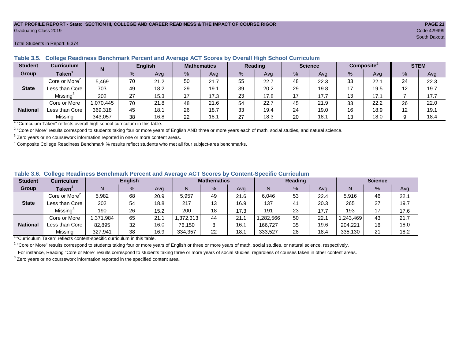#### **ACT PROFILE REPORT - State: SECTION III, COLLEGE AND CAREER READINESS & THE IMPACT OF COURSE RIGOR PAGE 21** Graduating Class 2019 Code 429999

#### Total Students in Report: 6,374

| <b>Student</b>  | <b>Curriculum</b>         | <b>English</b><br>N |    |      | <b>Mathematics</b> |      |      | Reading |    | <b>Science</b> | <b>Composite</b> |      | <b>STEM</b> |      |
|-----------------|---------------------------|---------------------|----|------|--------------------|------|------|---------|----|----------------|------------------|------|-------------|------|
| Group           | <b>Taken</b>              |                     | %  | Avg  | %                  | Avg  | $\%$ | Avg     | %  | Avg            | %                | Avg  | %           | Avg  |
|                 | Core or More <sup>2</sup> | 5,469               | 70 | 21.2 | 50                 | 21.7 | 55   | 22.7    | 48 | 22.3           | 33               | 22.1 | 24          | 22.3 |
| <b>State</b>    | Less than Core            | 703                 | 49 | 18.2 | 29                 | 19.7 | 39   | 20.2    | 29 | 19.8           | 17               | 19.5 | 12          | 19.7 |
|                 | <b>Missing</b>            | 202                 | 27 | 15.3 | 17                 | 17.3 | 23   | 17.8    | 17 | 17.7           | 13               | 17.1 |             | 17.7 |
|                 | Core or More              | ,070,445            | 70 | 21.8 | 48                 | 21.6 | 54   | 22.7    | 45 | 21.9           | 33               | 22.2 | 26          | 22.0 |
| <b>National</b> | Less than Core            | 369,318             | 45 | 18.7 | 26                 | 18.7 | 33   | 19.4    | 24 | 19.0           | 16               | 18.9 | 12          | 19.1 |
|                 | Missing                   | 343,057             | 38 | 16.8 | 22                 | 18.7 | 27   | 18.3    | 20 | 18.            | 13               | 18.0 |             | 18.4 |

South Dakota

#### **Table 3.5. College Readiness Benchmark Percent and Average ACT Scores by Overall High School Curriculum**

 $1$  "Curriculum Taken" reflects overall high school curriculum in this table.

<sup>2</sup> "Core or More" results correspond to students taking four or more years of English AND three or more years each of math, social studies, and natural science.

 $3$  Zero years or no coursework information reported in one or more content areas.

<sup>4</sup> Composite College Readiness Benchmark % results reflect students who met all four subject-area benchmarks.

#### **Table 3.6. College Readiness Benchmark Percent and Average ACT Scores by Content-Specific Curriculum**

| <b>Student</b>  | -<br><b>Curriculum</b>    | <b>English</b> |    |      | <b>Mathematics</b> |    |      | <b>Reading</b> |    |      | <b>Science</b> |    |      |
|-----------------|---------------------------|----------------|----|------|--------------------|----|------|----------------|----|------|----------------|----|------|
| Group           | Taken <sup>1</sup>        | N              | %  | Avg  |                    | %  | Avg  |                | %  | Avg  | N              | %  | Avg  |
|                 | Core or More <sup>2</sup> | 5,982          | 68 | 20.9 | 5.957              | 49 | 21.6 | 6,046          | 53 | 22.4 | 5.916          | 46 | 22.7 |
| <b>State</b>    | Less than Core            | 202            | 54 | 18.8 | 217                | 13 | 16.9 | 137            | 41 | 20.3 | 265            | 27 | 19.7 |
|                 | Missing <sup>3</sup>      | 190            | 26 | 15.2 | 200                | 18 | 17.3 | 191            | 23 | 17.7 | 193            | 17 | 17.6 |
|                 | Core or More              | ,371,984       | 65 | 21.1 | .372.313           | 44 | 21.7 | ,282,566       | 50 | 22.1 | ,243,469       | 43 | 21.7 |
| <b>National</b> | Less than Core            | 82.895         | 32 | 16.0 | 76.150             |    | 16.1 | 166,727        | 35 | 19.6 | 204.221        | 18 | 18.0 |
|                 | Missing                   | 327,941        | 38 | 16.9 | 334,357            | 22 | 18.1 | 333,527        | 28 | 18.4 | 335,130        | 21 | 18.2 |

<sup>1</sup> "Curriculum Taken" reflects content-specific curriculum in this table.

<sup>2</sup> "Core or More" results correspond to students taking four or more years of English or three or more years of math, social studies, or natural science, respectively.

For instance, Reading "Core or More" results correspond to students taking three or more years of social studies, regardless of courses taken in other content areas.

 $3$  Zero years or no coursework information reported in the specified content area.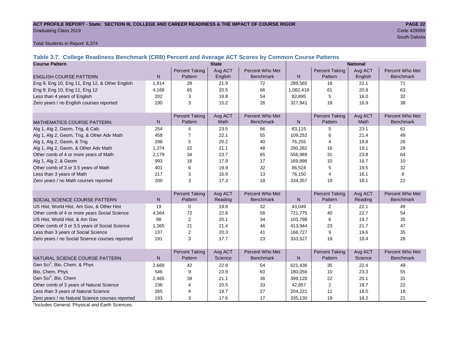#### **ACT PROFILE REPORT - State: SECTION III, COLLEGE AND CAREER READINESS & THE IMPACT OF COURSE RIGOR PAGE 22**

Graduating Class 2019 Code 429999

South Dakota (1999) and the state of the state of the state of the state of the state of the South Dakota (199

#### Total Students in Report: 6,374

#### **Table 3.7. College Readiness Benchmark (CRB) Percent and Average ACT Scores by Common Course Patterns**

| <b>Course Pattern</b>                            |                |                                  | <b>State</b>       |                                     |              |                                  | <b>National</b>    |                                     |
|--------------------------------------------------|----------------|----------------------------------|--------------------|-------------------------------------|--------------|----------------------------------|--------------------|-------------------------------------|
|                                                  |                | Percent Taking                   | Avg ACT            | Percent Who Met                     |              | <b>Percent Taking</b>            | Avg ACT            | Percent Who Met                     |
| <b>ENGLISH COURSE PATTERN</b>                    | N <sub>1</sub> | Pattern                          | English            | <b>Benchmark</b>                    | $\mathsf{N}$ | Pattern                          | English            | <b>Benchmark</b>                    |
| Eng 9, Eng 10, Eng 11, Eng 12, & Other English   | 1,814          | 28                               | 21.9               | 72                                  | 289,565      | 16                               | 22.1               | 71                                  |
| Eng 9, Eng 10, Eng 11, Eng 12                    | 4,168          | 65                               | 20.5               | 66                                  | 1,082,419    | 61                               | 20.8               | 63                                  |
| Less than 4 years of English                     | 202            | 3                                | 18.8               | 54                                  | 82,895       | 5                                | 16.0               | 32                                  |
| Zero years / no English courses reported         | 190            | 3                                | 15.2               | 26                                  | 327,941      | 18                               | 16.9               | 38                                  |
|                                                  |                |                                  |                    |                                     |              |                                  |                    |                                     |
|                                                  |                | <b>Percent Taking</b>            | Avg ACT            | Percent Who Met                     |              | <b>Percent Taking</b>            | Avg ACT            | Percent Who Met                     |
| <b>MATHEMATICS COURSE PATTERN</b>                | N              | Pattern                          | Math               | <b>Benchmark</b>                    | N            | Pattern                          | Math               | <b>Benchmark</b>                    |
| Alg 1, Alg 2, Geom, Trig, & Calc                 | 254            | 4                                | 23.5               | 66                                  | 83,115       | 5                                | 23.1               | 61                                  |
| Alg 1, Alg 2, Geom, Trig, & Other Adv Math       | 458            | $\overline{7}$                   | 22.1               | 55                                  | 109,252      | 6                                | 21.4               | 49                                  |
| Alg 1, Alg 2, Geom, & Trig                       | 298            | 5                                | 20.2               | 40                                  | 76,255       | 4                                | 18.8               | 26                                  |
| Alg 1, Alg 2, Geom, & Other Adv Math             | 1,374          | 22                               | 21.1               | 48                                  | 290,282      | 16                               | 19.1               | 28                                  |
| Other comb of 4 or more years of Math            | 2,179          | 34                               | 23.7               | 65                                  | 556,989      | 31                               | 23.8               | 64                                  |
| Alg 1, Alg 2, & Geom                             | 993            | 16                               | 17.9               | 17                                  | 169,896      | 10                               | 16.7               | 10                                  |
| Other comb of 3 or 3.5 years of Math             | 401            | 6                                | 19.9               | 32                                  | 86,524       | 5                                | 19.5               | 32                                  |
| Less than 3 years of Math                        | 217            | 3                                | 16.9               | 13                                  | 76,150       | 4                                | 16.1               | 8                                   |
| Zero years / no Math courses reported            | 200            | 3                                | 17.3               | 18                                  | 334,357      | 19                               | 18.1               | 22                                  |
|                                                  |                |                                  |                    |                                     |              |                                  |                    |                                     |
|                                                  |                | <b>Percent Taking</b>            | Avg ACT            | Percent Who Met                     |              | <b>Percent Taking</b>            | Avg ACT            | Percent Who Met                     |
| SOCIAL SCIENCE COURSE PATTERN                    | N              | Pattern                          | Reading            | <b>Benchmark</b>                    | $\mathsf{N}$ | Pattern                          | Reading            | <b>Benchmark</b>                    |
| US Hist, World Hist, Am Gov, & Other Hist        | 19             | $\mathbf 0$                      | 19.8               | 32                                  | 43,049       | 2                                | 22.1               | 49                                  |
| Other comb of 4 or more years Social Science     | 4,564          | 72                               | 22.8               | 56                                  | 721,775      | 40                               | 22.7               | 54                                  |
| US Hist, World Hist, & Am Gov                    | 98             | $\overline{2}$                   | 20.1               | 34                                  | 103,798      | 6                                | 19.7               | 35                                  |
| Other comb of 3 or 3.5 years of Social Science   | 1,365          | 21                               | 21.4               | 46                                  | 413,944      | 23                               | 21.7               | 47                                  |
| Less than 3 years of Social Science              | 137            | $\sqrt{2}$                       | 20.3               | 41                                  | 166,727      | 9                                | 19.6               | 35                                  |
| Zero years / no Social Science courses reported  | 191            | 3                                | 17.7               | 23                                  | 333,527      | 19                               | 18.4               | 28                                  |
|                                                  |                |                                  |                    |                                     |              |                                  |                    |                                     |
|                                                  | N.             | <b>Percent Taking</b><br>Pattern | Avg ACT<br>Science | Percent Who Met<br><b>Benchmark</b> | N            | <b>Percent Taking</b><br>Pattern | Avg ACT<br>Science | Percent Who Met<br><b>Benchmark</b> |
| NATURAL SCIENCE COURSE PATTERN                   |                |                                  |                    |                                     |              |                                  |                    |                                     |
| Gen Sci <sup>1</sup> , Bio, Chem, & Phys         | 2,669          | 42                               | 22.9               | 54                                  | 621,436      | 35                               | 22.4               | 49                                  |
| Bio, Chem, Phys                                  | 546            | 9                                | 23.9               | 60                                  | 180,056      | 10                               | 23.3               | 55                                  |
| Gen Sci <sup>1</sup> , Bio, Chem                 | 2,465          | 39                               | 21.1               | 36                                  | 399,120      | 22                               | 20.1               | 31                                  |
| Other comb of 3 years of Natural Science         | 236            | 4                                | 20.5               | 33                                  | 42,857       | 2                                | 18.7               | 22                                  |
| Less than 3 years of Natural Science             | 265            | 4                                | 19.7               | 27                                  | 204,221      | 11                               | 18.0               | 18                                  |
| Zero years / no Natural Science courses reported | 193            | 3                                | 17.6               | 17                                  | 335,130      | 19                               | 18.2               | 21                                  |

<sup>1</sup>Includes General, Physical and Earth Sciences.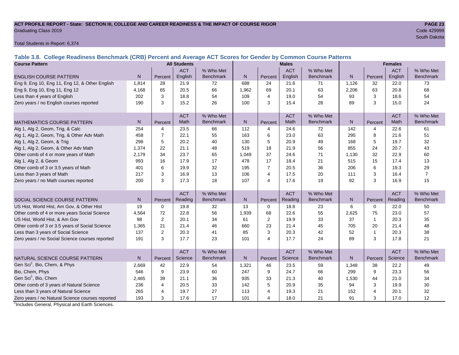#### **ACT PROFILE REPORT - State: SECTION III, COLLEGE AND CAREER READINESS & THE IMPACT OF COURSE RIGOR PAGE 23** Graduating Class 2019 Code 429999

South Dakota

#### Total Students in Report: 6,374

**Table 3.8. College Readiness Benchmark (CRB) Percent and Average ACT Scores for Gender by Common Course Patterns**

| <b>Course Pattern</b>                            |              |                | <b>All Students</b> |                  |       |                | <b>Males</b> |                  |              |                | <b>Females</b> |                  |
|--------------------------------------------------|--------------|----------------|---------------------|------------------|-------|----------------|--------------|------------------|--------------|----------------|----------------|------------------|
|                                                  |              |                | <b>ACT</b>          | % Who Met        |       |                | <b>ACT</b>   | % Who Met        |              |                | <b>ACT</b>     | % Who Met        |
| <b>ENGLISH COURSE PATTERN</b>                    | $\mathsf{N}$ | Percent        | English             | <b>Benchmark</b> | N     | Percent        | English      | <b>Benchmark</b> | $\mathsf{N}$ | Percent        | English        | <b>Benchmark</b> |
| Eng 9, Eng 10, Eng 11, Eng 12, & Other English   | 1,814        | 28             | 21.9                | 72               | 688   | 24             | 21.6         | 71               | 1,126        | 32             | 22.0           | 73               |
| Eng 9, Eng 10, Eng 11, Eng 12                    | 4,168        | 65             | 20.5                | 66               | 1,962 | 69             | 20.1         | 63               | 2,206        | 63             | 20.8           | 68               |
| Less than 4 years of English                     | 202          | 3              | 18.8                | 54               | 109   | $\overline{4}$ | 19.0         | 54               | 93           | 3              | 18.6           | 54               |
| Zero years / no English courses reported         | 190          | 3              | 15.2                | 26               | 100   | 3              | 15.4         | 28               | 89           | 3              | 15.0           | 24               |
|                                                  |              |                | <b>ACT</b>          | % Who Met        |       |                | <b>ACT</b>   | % Who Met        |              |                | <b>ACT</b>     | % Who Met        |
| <b>MATHEMATICS COURSE PATTERN</b>                | N            | Percent        | Math                | <b>Benchmark</b> | N     | Percent        | Math         | <b>Benchmark</b> | N            | Percent        | Math           | <b>Benchmark</b> |
| Alg 1, Alg 2, Geom, Trig, & Calc                 | 254          | 4              | 23.5                | 66               | 112   | $\overline{4}$ | 24.6         | 72               | 142          | 4              | 22.6           | 61               |
| Alg 1, Alg 2, Geom, Trig, & Other Adv Math       | 458          | $\overline{7}$ | 22.1                | 55               | 163   | 6              | 23.0         | 63               | 295          | 8              | 21.6           | 51               |
| Alg 1, Alg 2, Geom, & Trig                       | 298          | 5              | 20.2                | 40               | 130   | 5              | 20.9         | 49               | 168          | 5              | 19.7           | 32               |
| Alg 1, Alg 2, Geom, & Other Adv Math             | 1,374        | 22             | 21.1                | 48               | 519   | 18             | 21.9         | 56               | 855          | 24             | 20.7           | 43               |
| Other comb of 4 or more years of Math            | 2,179        | 34             | 23.7                | 65               | 1,049 | 37             | 24.6         | 71               | 1,130        | 32             | 22.9           | 60               |
| Alg 1, Alg 2, & Geom                             | 993          | 16             | 17.9                | 17               | 478   | 17             | 18.4         | 21               | 515          | 15             | 17.4           | 13               |
| Other comb of 3 or 3.5 years of Math             | 401          | 6              | 19.9                | 32               | 195   | $\overline{7}$ | 20.5         | 36               | 206          | 6              | 19.3           | 29               |
| Less than 3 years of Math                        | 217          | 3              | 16.9                | 13               | 106   | $\overline{4}$ | 17.5         | 20               | 111          | 3              | 16.4           | $\overline{7}$   |
| Zero years / no Math courses reported            | 200          | 3              | 17.3                | 18               | 107   | 4              | 17.6         | 19               | 92           | 3              | 16.9           | 15               |
|                                                  |              |                | <b>ACT</b>          | % Who Met        |       |                | <b>ACT</b>   | % Who Met        |              |                | <b>ACT</b>     | % Who Met        |
| SOCIAL SCIENCE COURSE PATTERN                    | N            | Percent        | Reading             | Benchmark        | N     | Percent        | Reading      | <b>Benchmark</b> | N            | Percent        | Reading        | Benchmark        |
| US Hist, World Hist, Am Gov, & Other Hist        | 19           | $\mathbf 0$    | 19.8                | 32               | 13    | $\Omega$       | 18.8         | 23               | 6            | 0              | 22.0           | 50               |
| Other comb of 4 or more years Social Science     | 4,564        | 72             | 22.8                | 56               | 1,939 | 68             | 22.6         | 55               | 2,625        | 75             | 23.0           | 57               |
| US Hist, World Hist, & Am Gov                    | 98           | 2              | 20.1                | 34               | 61    | 2              | 19.9         | 33               | 37           | $\mathbf{1}$   | 20.3           | 35               |
| Other comb of 3 or 3.5 years of Social Science   | 1,365        | 21             | 21.4                | 46               | 660   | 23             | 21.4         | 45               | 705          | 20             | 21.4           | 48               |
| Less than 3 years of Social Science              | 137          | $\overline{2}$ | 20.3                | 41               | 85    | 3              | 20.3         | 42               | 52           | $\overline{1}$ | 20.3           | 38               |
| Zero years / no Social Science courses reported  | 191          | 3              | 17.7                | 23               | 101   | $\overline{4}$ | 17.7         | 24               | 89           | 3              | 17.8           | 21               |
|                                                  |              |                | <b>ACT</b>          | % Who Met        |       |                | <b>ACT</b>   | % Who Met        |              |                | <b>ACT</b>     | % Who Met        |
| NATURAL SCIENCE COURSE PATTERN                   | N            | Percent        | Science             | <b>Benchmark</b> | N     | Percent        | Science      | <b>Benchmark</b> | N            | Percent        | Science        | <b>Benchmark</b> |
| Gen Sci <sup>1</sup> , Bio, Chem, & Phys         | 2,669        | 42             | 22.9                | 54               | 1,321 | 46             | 23.5         | 59               | 1,348        | 38             | 22.2           | 49               |
| Bio, Chem, Phys                                  | 546          | 9              | 23.9                | 60               | 247   | 9              | 24.7         | 66               | 299          | 9              | 23.3           | 56               |
| Gen Sci <sup>1</sup> , Bio, Chem                 | 2,465        | 39             | 21.1                | 36               | 935   | 33             | 21.3         | 40               | 1,530        | 44             | 21.0           | 34               |
| Other comb of 3 years of Natural Science         | 236          | 4              | 20.5                | 33               | 142   | 5              | 20.9         | 35               | 94           | 3              | 19.9           | 30               |
| Less than 3 years of Natural Science             | 265          | 4              | 19.7                | 27               | 113   | $\overline{4}$ | 19.3         | 21               | 152          | $\overline{4}$ | 20.1           | 32               |
| Zero years / no Natural Science courses reported | 193          | 3              | 17.6                | 17               | 101   | 4              | 18.0         | 21               | 91           | 3              | 17.0           | 12               |

<sup>1</sup>Includes General, Physical and Earth Sciences.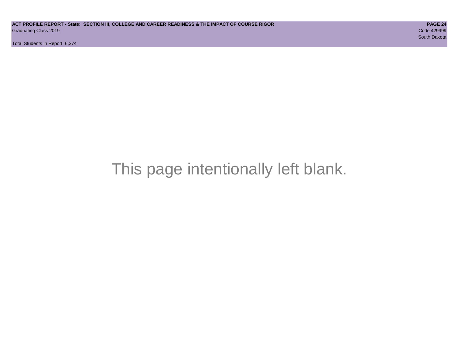## This page intentionally left blank.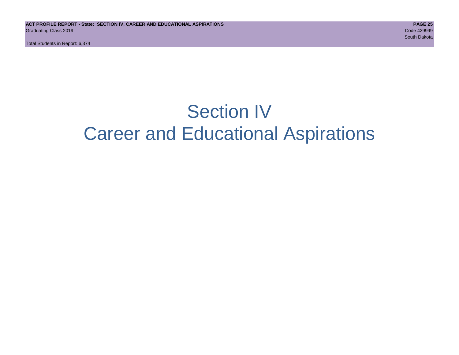# Section IV Career and Educational Aspirations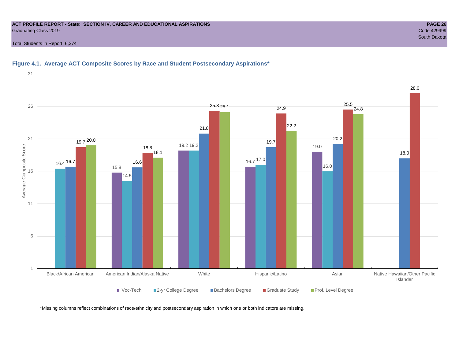#### **ACT PROFILE REPORT - State: SECTION IV, CAREER AND EDUCATIONAL ASPIRATIONS PAGE 26** Graduating Class 2019 Code 429999

#### Total Students in Report: 6,374



#### **Figure 4.1. Average ACT Composite Scores by Race and Student Postsecondary Aspirations\***

\*Missing columns reflect combinations of race/ethnicity and postsecondary aspiration in which one or both indicators are missing.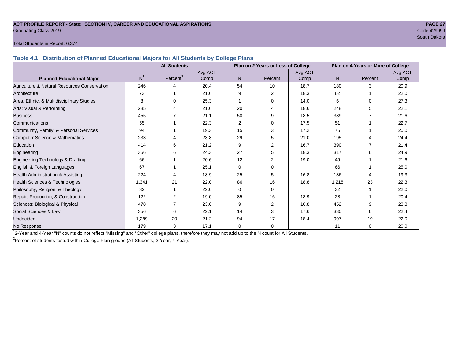#### **ACT PROFILE REPORT - State: SECTION IV, CAREER AND EDUCATIONAL ASPIRATIONS PAGE 27** Graduating Class 2019 Code 429999

## South Dakota

#### Total Students in Report: 6,374

**Table 4.1. Distribution of Planned Educational Majors for All Students by College Plans**

|                                              |                | <b>All Students</b>  |                 | Plan on 2 Years or Less of College |                       |                 | Plan on 4 Years or More of College |          |                 |  |
|----------------------------------------------|----------------|----------------------|-----------------|------------------------------------|-----------------------|-----------------|------------------------------------|----------|-----------------|--|
| <b>Planned Educational Major</b>             | N <sup>1</sup> | Percent <sup>2</sup> | Avg ACT<br>Comp | N                                  | Percent               | Avg ACT<br>Comp | N                                  | Percent  | Avg ACT<br>Comp |  |
| Agriculture & Natural Resources Conservation | 246            | Δ                    | 20.4            | 54                                 | 10                    | 18.7            | 180                                | 3        | 20.9            |  |
| Architecture                                 | 73             |                      | 21.6            | 9                                  | $\overline{2}$        | 18.3            | 62                                 |          | 22.0            |  |
| Area, Ethnic, & Multidisciplinary Studies    | 8              | $\Omega$             | 25.3            |                                    | 0                     | 14.0            | 6                                  | $\Omega$ | 27.3            |  |
| Arts: Visual & Performing                    | 285            | 4                    | 21.6            | 20                                 | $\boldsymbol{\Delta}$ | 18.6            | 248                                |          | 22.1            |  |
| <b>Business</b>                              | 455            |                      | 21.1            | 50                                 | 9                     | 18.5            | 389                                |          | 21.6            |  |
| Communications                               | 55             |                      | 22.3            | $\overline{2}$                     | $\Omega$              | 17.5            | 51                                 | 1        | 22.7            |  |
| Community, Family, & Personal Services       | 94             |                      | 19.3            | 15                                 | 3                     | 17.2            | 75                                 |          | 20.0            |  |
| <b>Computer Science &amp; Mathematics</b>    | 233            |                      | 23.8            | 29                                 | 5                     | 21.0            | 195                                |          | 24.4            |  |
| Education                                    | 414            | 6                    | 21.2            | 9                                  | $\overline{2}$        | 16.7            | 390                                |          | 21.4            |  |
| Engineering                                  | 356            | 6                    | 24.3            | 27                                 | 5                     | 18.3            | 317                                | 6        | 24.9            |  |
| Engineering Technology & Drafting            | 66             |                      | 20.6            | 12                                 | 2                     | 19.0            | 49                                 |          | 21.6            |  |
| English & Foreign Languages                  | 67             |                      | 25.1            | $\Omega$                           | $\Omega$              |                 | 66                                 |          | 25.0            |  |
| Health Administration & Assisting            | 224            | Δ                    | 18.9            | 25                                 | 5                     | 16.8            | 186                                | 4        | 19.3            |  |
| Health Sciences & Technologies               | 1,341          | 21                   | 22.0            | 86                                 | 16                    | 18.8            | 1,218                              | 23       | 22.3            |  |
| Philosophy, Religion, & Theology             | 32             |                      | 22.0            | $\Omega$                           | $\Omega$              |                 | 32                                 |          | 22.0            |  |
| Repair, Production, & Construction           | 122            | 2                    | 19.0            | 85                                 | 16                    | 18.9            | 28                                 |          | 20.4            |  |
| Sciences: Biological & Physical              | 478            |                      | 23.6            | 9                                  | $\overline{2}$        | 16.8            | 452                                | 9        | 23.8            |  |
| Social Sciences & Law                        | 356            | 6                    | 22.1            | 14                                 | 3                     | 17.6            | 330                                | 6        | 22.4            |  |
| Undecided                                    | 1,289          | 20                   | 21.2            | 94                                 | 17                    | 18.4            | 997                                | 19       | 22.0            |  |
| No Response                                  | 179            | 3                    | 17.1            | 0                                  | 0                     |                 | 11                                 | 0        | 20.0            |  |

1 2-Year and 4-Year "N" counts do not reflect "Missing" and "Other" college plans, therefore they may not add up to the N count for All Students.

<sup>2</sup> Percent of students tested within College Plan groups (All Students, 2-Year, 4-Year).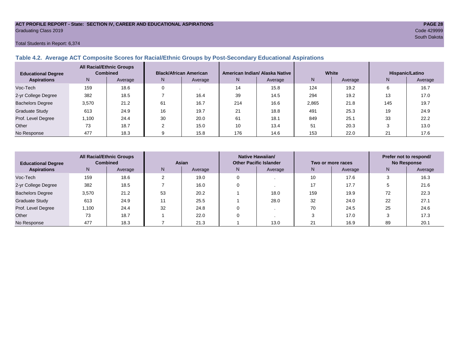#### **ACT PROFILE REPORT - State: SECTION IV, CAREER AND EDUCATIONAL ASPIRATIONS PAGE 28** Graduating Class 2019 Code 429999

#### Total Students in Report: 6,374

**Table 4.2. Average ACT Composite Scores for Racial/Ethnic Groups by Post-Secondary Educational Aspirations**

| <b>Educational Degree</b> |       | <b>All Racial/Ethnic Groups</b><br><b>Combined</b> |          | <b>Black/African American</b> |     | American Indian/ Alaska Native |       | White   |     | Hispanic/Latino |  |  |
|---------------------------|-------|----------------------------------------------------|----------|-------------------------------|-----|--------------------------------|-------|---------|-----|-----------------|--|--|
| <b>Aspirations</b>        | N     | Average                                            | N.       | Average                       | N   | Average                        | N     | Average |     | Average         |  |  |
| Voc-Tech                  | 159   | 18.6                                               | $\Omega$ |                               | 14  | 15.8                           | 124   | 19.2    | 6   | 16.7            |  |  |
| 2-yr College Degree       | 382   | 18.5                                               |          | 16.4                          | 39  | 14.5                           | 294   | 19.2    | 13  | 17.0            |  |  |
| <b>Bachelors Degree</b>   | 3,570 | 21.2                                               | 61       | 16.7                          | 214 | 16.6                           | 2,865 | 21.8    | 145 | 19.7            |  |  |
| <b>Graduate Study</b>     | 613   | 24.9                                               | 16       | 19.7                          | 21  | 18.8                           | 491   | 25.3    | 19  | 24.9            |  |  |
| Prof. Level Degree        | 1,100 | 24.4                                               | 30       | 20.0                          | 61  | 18.1                           | 849   | 25.1    | 33  | 22.2            |  |  |
| Other                     | 73    | 18.7                                               | $\sim$   | 15.0                          | 10  | 13.4                           | 51    | 20.3    | 3   | 13.0            |  |  |
| No Response               | 477   | 18.3                                               |          | 15.8                          | 176 | 14.6                           | 153   | 22.0    | 21  | 17.6            |  |  |

| <b>All Racial/Ethnic Groups</b><br><b>Combined</b><br><b>Educational Degree</b> |       | Asian   |    | Native Hawaiian/<br><b>Other Pacific Islander</b> |    | Two or more races |     | Prefer not to respond/<br><b>No Response</b> |    |         |
|---------------------------------------------------------------------------------|-------|---------|----|---------------------------------------------------|----|-------------------|-----|----------------------------------------------|----|---------|
| <b>Aspirations</b>                                                              | N     | Average | N  | Average                                           | N. | Average           | N   | Average                                      | N  | Average |
| Voc-Tech                                                                        | 159   | 18.6    |    | 19.0                                              |    |                   | 10  | 17.6                                         |    | 16.3    |
| 2-yr College Degree                                                             | 382   | 18.5    |    | 16.0                                              |    |                   | 17  | 17.7                                         |    | 21.6    |
| <b>Bachelors Degree</b>                                                         | 3,570 | 21.2    | 53 | 20.2                                              |    | 18.0              | 159 | 19.9                                         | 72 | 22.3    |
| <b>Graduate Study</b>                                                           | 613   | 24.9    | 11 | 25.5                                              |    | 28.0              | 32  | 24.0                                         | 22 | 27.1    |
| Prof. Level Degree                                                              | 1.100 | 24.4    | 32 | 24.8                                              |    |                   | 70  | 24.5                                         | 25 | 24.6    |
| Other                                                                           | 73    | 18.7    |    | 22.0                                              |    |                   |     | 17.0                                         |    | 17.3    |
| No Response                                                                     | 477   | 18.3    |    | 21.3                                              |    | 13.0              | 21  | 16.9                                         | 89 | 20.1    |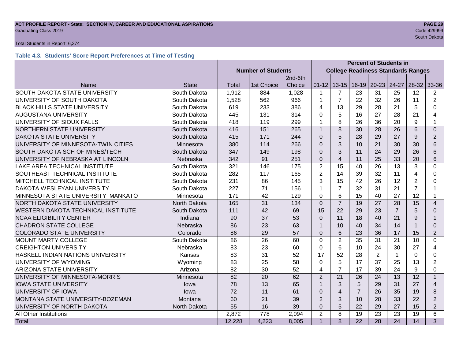### **ACT PROFILE REPORT - State: SECTION IV, CAREER AND EDUCATIONAL ASPIRATIONS PAGE 29** Graduating Class 2019 Code 429999

#### Total Students in Report: 6,374

#### **Table 4.3. Students' Score Report Preferences at Time of Testing**

|                                          |              |        |                           |                                           | <b>Percent of Students in</b> |                 |                |                |                |                |                |
|------------------------------------------|--------------|--------|---------------------------|-------------------------------------------|-------------------------------|-----------------|----------------|----------------|----------------|----------------|----------------|
|                                          |              |        | <b>Number of Students</b> | <b>College Readiness Standards Ranges</b> |                               |                 |                |                |                |                |                |
|                                          |              |        |                           | 2nd-6th                                   |                               |                 |                |                |                |                |                |
| Name                                     | <b>State</b> | Total  | 1st Choice                | Choice                                    | $01 - 12$                     | $13 - 15$       | $16 - 19$      | $20 - 23$      | 24-27          | $28-32$        | 33-36          |
| SOUTH DAKOTA STATE UNIVERSITY            | South Dakota | 1,912  | 884                       | 1,028                                     | $\mathbf{1}$                  | $\overline{7}$  | 23             | 31             | 25             | 12             | $\overline{2}$ |
| UNIVERSITY OF SOUTH DAKOTA               | South Dakota | 1,528  | 562                       | 966                                       | 1                             | $\overline{7}$  | 22             | 32             | 26             | 11             | $\overline{2}$ |
| <b>BLACK HILLS STATE UNIVERSITY</b>      | South Dakota | 619    | 233                       | 386                                       | 4                             | 13              | 29             | 28             | 21             | 5              | 0              |
| AUGUSTANA UNIVERSITY                     | South Dakota | 445    | 131                       | 314                                       | 0                             | 5               | 16             | 27             | 28             | 21             | 4              |
| UNIVERSITY OF SIOUX FALLS                | South Dakota | 418    | 119                       | 299                                       | 1                             | 8               | 26             | 36             | 20             | 9              | 1              |
| NORTHERN STATE UNIVERSITY                | South Dakota | 416    | 151                       | 265                                       | $\mathbf{1}$                  | 8               | 30             | 28             | 26             | 6              | $\overline{0}$ |
| <b>DAKOTA STATE UNIVERSITY</b>           | South Dakota | 415    | 171                       | 244                                       | $\Omega$                      | 5               | 28             | 29             | 27             | 9              | $\overline{2}$ |
| UNIVERSITY OF MINNESOTA-TWIN CITIES      | Minnesota    | 380    | 114                       | 266                                       | $\Omega$                      | 3               | 10             | 21             | 30             | 30             | 6              |
| SOUTH DAKOTA SCH OF MINES/TECH           | South Dakota | 347    | 149                       | 198                                       | $\Omega$                      | 3               | 11             | 24             | 29             | 26             | 6              |
| UNIVERSITY OF NEBRASKA AT LINCOLN        | Nebraska     | 342    | 91                        | 251                                       | $\mathbf 0$                   | $\overline{4}$  | 11             | 25             | 33             | 20             | 6              |
| <b>LAKE AREA TECHNICAL INSTITUTE</b>     | South Dakota | 321    | 146                       | 175                                       | $\overline{2}$                | $\overline{15}$ | 40             | 26             | 13             | 3              | 0              |
| SOUTHEAST TECHNICAL INSTITUTE            | South Dakota | 282    | 117                       | 165                                       | $\overline{2}$                | 14              | 39             | 32             | 11             | 4              | 0              |
| MITCHELL TECHNICAL INSTITUTE             | South Dakota | 231    | 86                        | 145                                       | 3                             | 15              | 42             | 26             | 12             | $\overline{2}$ | 0              |
| DAKOTA WESLEYAN UNIVERSITY               | South Dakota | 227    | 71                        | 156                                       | 1                             | $\overline{7}$  | 32             | 31             | 21             | $\overline{7}$ |                |
| MINNESOTA STATE UNIVERSITY MANKATO       | Minnesota    | 171    | 42                        | 129                                       | $\mathbf 0$                   | 6               | 15             | 40             | 27             | 12             | 1              |
| NORTH DAKOTA STATE UNIVERSITY            | North Dakota | 165    | 31                        | 134                                       | $\overline{0}$                | $\overline{7}$  | 19             | 27             | 28             | 15             | $\overline{4}$ |
| WESTERN DAKOTA TECHNICAL INSTITUTE       | South Dakota | 111    | 42                        | 69                                        | 15                            | 22              | 29             | 23             | $\overline{7}$ | 5              | $\Omega$       |
| <b>NCAA ELIGIBILITY CENTER</b>           | Indiana      | 90     | 37                        | 53                                        | $\overline{0}$                | 11              | 18             | 40             | 21             | 9              | $\mathbf 1$    |
| <b>CHADRON STATE COLLEGE</b>             | Nebraska     | 86     | 23                        | 63                                        | $\mathbf{1}$                  | 10              | 40             | 34             | 14             |                | $\Omega$       |
| <b>COLORADO STATE UNIVERSITY</b>         | Colorado     | 86     | 29                        | 57                                        | $\mathbf 0$                   | 6               | 23             | 36             | 17             | 15             | $\overline{2}$ |
| <b>MOUNT MARTY COLLEGE</b>               | South Dakota | 86     | 26                        | 60                                        | $\mathbf 0$                   | $\overline{2}$  | 35             | 31             | 21             | 10             | $\mathbf 0$    |
| <b>CREIGHTON UNIVERSITY</b>              | Nebraska     | 83     | 23                        | 60                                        | $\mathbf 0$                   | 6               | 10             | 24             | 30             | 27             | $\overline{4}$ |
| <b>HASKELL INDIAN NATIONS UNIVERSITY</b> | Kansas       | 83     | 31                        | 52                                        | 17                            | 52              | 28             | $\overline{2}$ | $\mathbf{1}$   | $\Omega$       | 0              |
| UNIVERSITY OF WYOMING                    | Wyoming      | 83     | 25                        | 58                                        | $\mathbf 0$                   | 5               | 17             | 37             | 25             | 13             | $\overline{2}$ |
| <b>ARIZONA STATE UNIVERSITY</b>          | Arizona      | 82     | 30                        | 52                                        | 4                             | $\overline{7}$  | 17             | 39             | 24             | 9              | $\mathbf 0$    |
| UNIVERSITY OF MINNESOTA-MORRIS           | Minnesota    | 82     | 20                        | 62                                        | $\overline{2}$                | 21              | 26             | 24             | 13             | 12             | $\mathbf{1}$   |
| <b>IOWA STATE UNIVERSITY</b>             | lowa         | 78     | 13                        | 65                                        | $\mathbf{1}$                  | 3               | 5              | 29             | 31             | 27             | $\overline{4}$ |
| UNIVERSITY OF IOWA                       | lowa         | 72     | 11                        | 61                                        | 0                             | $\overline{4}$  | $\overline{7}$ | 26             | 35             | 19             | 8              |
| MONTANA STATE UNIVERSITY-BOZEMAN         | Montana      | 60     | 21                        | 39                                        | $\overline{2}$                | 3               | 10             | 28             | 33             | 22             | $\overline{2}$ |
| UNIVERSITY OF NORTH DAKOTA               | North Dakota | 55     | 16                        | 39                                        | $\Omega$                      | 5               | 22             | 29             | 27             | 15             | $\overline{2}$ |
| All Other Institutions                   |              | 2,872  | 778                       | 2,094                                     | $\overline{2}$                | 8               | 19             | 23             | 23             | 19             | 6              |
| Total                                    |              | 12,228 | 4,223                     | 8,005                                     | $\overline{1}$                | 8               | 22             | 28             | 24             | 14             | 3              |

South Dakota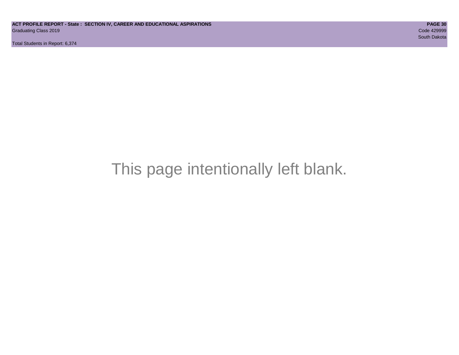**ACT PROFILE REPORT - State : SECTION IV, CAREER AND EDUCATIONAL ASPIRATIONS PAGE 30** Graduating Class 2019 Code 429999

Total Students in Report: 6,374

### This page intentionally left blank.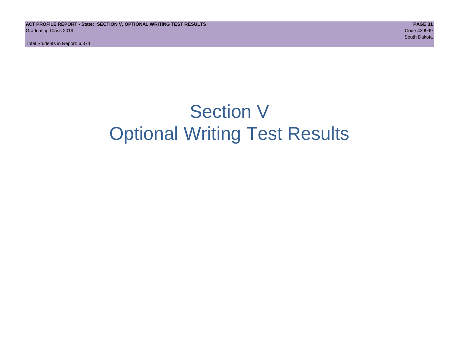# Section V Optional Writing Test Results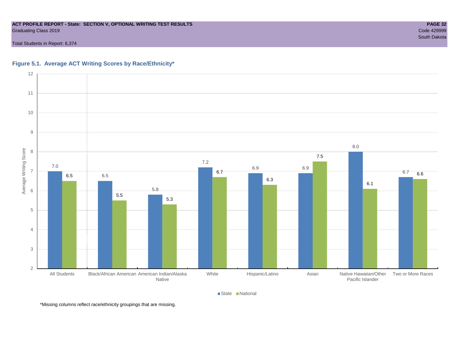#### **ACT PROFILE REPORT - State: SECTION V, OPTIONAL WRITING TEST RESULTS PAGE 32** Graduating Class 2019 Code 429999

Total Students in Report: 6,374

#### **Figure 5.1. Average ACT Writing Scores by Race/Ethnicity\***



■State ■National

\*Missing columns reflect race/ethnicity groupings that are missing.